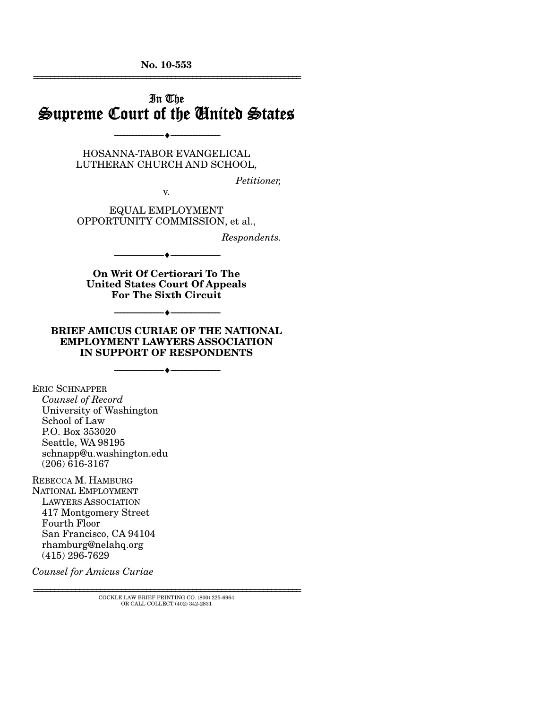**No. 10-553**  ================================================================

# In The Supreme Court of the United States

HOSANNA-TABOR EVANGELICAL LUTHERAN CHURCH AND SCHOOL,

--------------------------------- ♦ ---------------------------------

*Petitioner,* 

v.

EQUAL EMPLOYMENT OPPORTUNITY COMMISSION, et al.,

*Respondents.* 

**On Writ Of Certiorari To The United States Court Of Appeals For The Sixth Circuit** 

--------------------------------- ♦ ---------------------------------

--------------------------------- ♦ ---------------------------------

**BRIEF AMICUS CURIAE OF THE NATIONAL EMPLOYMENT LAWYERS ASSOCIATION IN SUPPORT OF RESPONDENTS** 

--------------------------------- ♦ ---------------------------------

ERIC SCHNAPPER *Counsel of Record*  University of Washington School of Law P.O. Box 353020 Seattle, WA 98195 schnapp@u.washington.edu (206) 616-3167

REBECCA M. HAMBURG NATIONAL EMPLOYMENT LAWYERS ASSOCIATION 417 Montgomery Street Fourth Floor San Francisco, CA 94104 rhamburg@nelahq.org (415) 296-7629

*Counsel for Amicus Curiae* 

================================================================ COCKLE LAW BRIEF PRINTING CO. (800) 225-6964 OR CALL COLLECT (402) 342-2831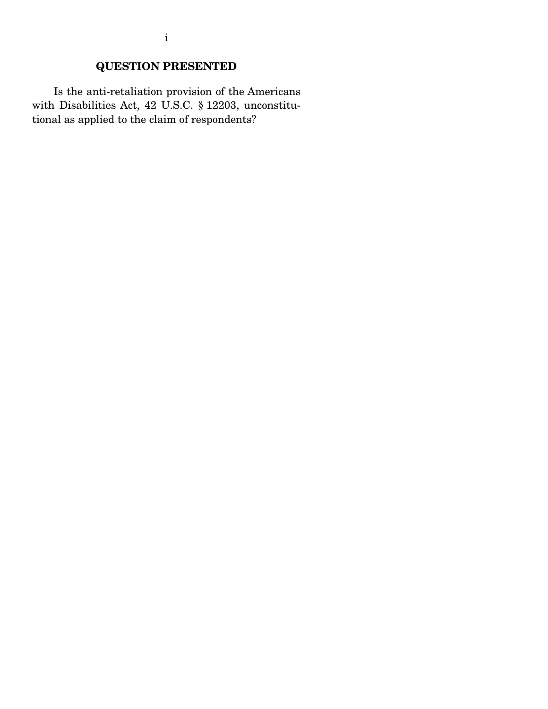Is the anti-retaliation provision of the Americans with Disabilities Act, 42 U.S.C. § 12203, unconstitutional as applied to the claim of respondents?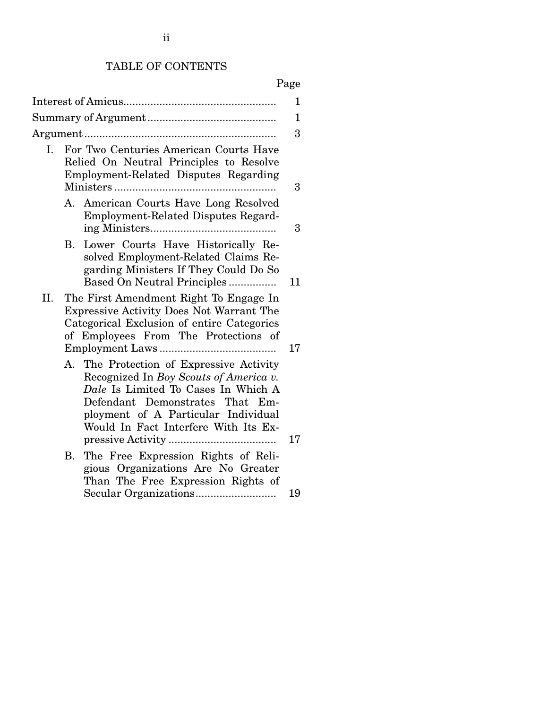# TABLE OF CONTENTS

# Page

|     |                                                                                                                                                                                                                                                | 1  |
|-----|------------------------------------------------------------------------------------------------------------------------------------------------------------------------------------------------------------------------------------------------|----|
|     |                                                                                                                                                                                                                                                | 1  |
|     |                                                                                                                                                                                                                                                | 3  |
| I.  | For Two Centuries American Courts Have<br>Relied On Neutral Principles to Resolve<br>Employment-Related Disputes Regarding                                                                                                                     | 3  |
|     | A. American Courts Have Long Resolved<br><b>Employment-Related Disputes Regard-</b>                                                                                                                                                            | 3  |
|     | Lower Courts Have Historically Re-<br>В.<br>solved Employment-Related Claims Re-<br>garding Ministers If They Could Do So<br>Based On Neutral Principles                                                                                       | 11 |
| II. | The First Amendment Right To Engage In<br><b>Expressive Activity Does Not Warrant The</b><br>Categorical Exclusion of entire Categories<br>of Employees From The Protections of                                                                | 17 |
|     | The Protection of Expressive Activity<br>A.<br>Recognized In Boy Scouts of America v.<br>Dale Is Limited To Cases In Which A<br>Defendant Demonstrates That Em-<br>ployment of A Particular Individual<br>Would In Fact Interfere With Its Ex- | 17 |
|     | The Free Expression Rights of Reli-<br>Β.<br>gious Organizations Are No Greater<br>Than The Free Expression Rights of                                                                                                                          | 19 |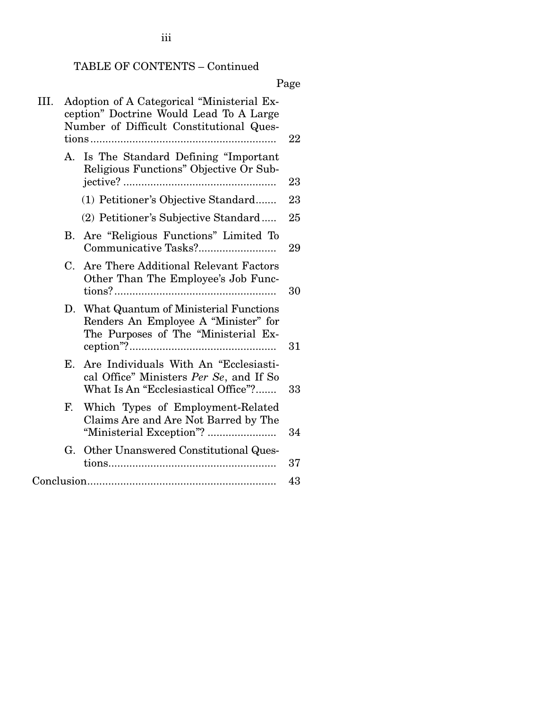# TABLE OF CONTENTS – Continued

# Page

| III. |    | Adoption of A Categorical "Ministerial Ex-<br>ception" Doctrine Would Lead To A Large<br>Number of Difficult Constitutional Ques- | 22 |
|------|----|-----------------------------------------------------------------------------------------------------------------------------------|----|
|      | А. | Is The Standard Defining "Important<br>Religious Functions" Objective Or Sub-                                                     | 23 |
|      |    | (1) Petitioner's Objective Standard                                                                                               | 23 |
|      |    | (2) Petitioner's Subjective Standard                                                                                              | 25 |
|      | В. | Are "Religious Functions" Limited To                                                                                              | 29 |
|      | C. | Are There Additional Relevant Factors<br>Other Than The Employee's Job Func-                                                      | 30 |
|      | D. | What Quantum of Ministerial Functions<br>Renders An Employee A "Minister" for<br>The Purposes of The "Ministerial Ex-             | 31 |
|      | Е. | Are Individuals With An "Ecclesiasti-<br>cal Office" Ministers Per Se, and If So<br>What Is An "Ecclesiastical Office"?           | 33 |
|      | F. | Which Types of Employment-Related<br>Claims Are and Are Not Barred by The                                                         | 34 |
|      | G. | Other Unanswered Constitutional Ques-                                                                                             | 37 |
|      |    |                                                                                                                                   | 43 |

iii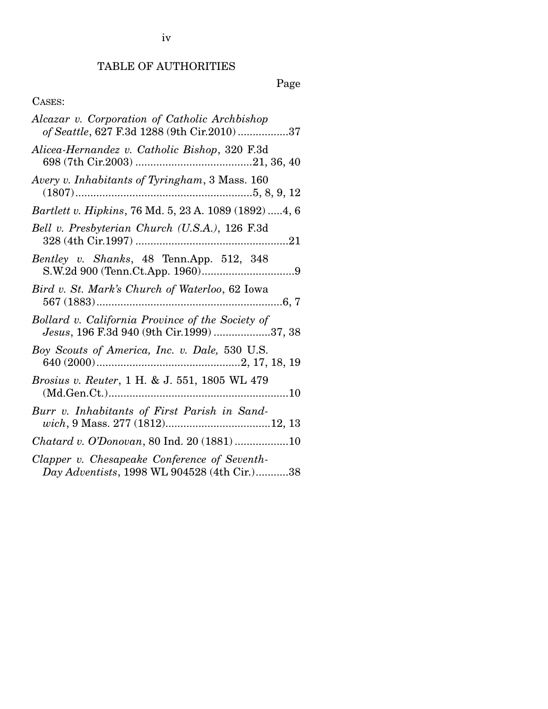# TABLE OF AUTHORITIES

Page

# CASES:

| Alcazar v. Corporation of Catholic Archbishop<br>of Seattle, 627 F.3d 1288 (9th Cir.2010)37   |
|-----------------------------------------------------------------------------------------------|
| Alicea-Hernandez v. Catholic Bishop, 320 F.3d                                                 |
| Avery v. Inhabitants of Tyringham, 3 Mass. 160                                                |
| Bartlett v. Hipkins, 76 Md. 5, 23 A. 1089 (1892)  4, 6                                        |
| Bell v. Presbyterian Church (U.S.A.), 126 F.3d                                                |
| Bentley v. Shanks, 48 Tenn.App. 512, 348                                                      |
| Bird v. St. Mark's Church of Waterloo, 62 Iowa                                                |
| Bollard v. California Province of the Society of<br>Jesus, 196 F.3d 940 (9th Cir.1999) 37, 38 |
| Boy Scouts of America, Inc. v. Dale, 530 U.S.                                                 |
| <i>Brosius v. Reuter, 1 H. &amp; J. 551, 1805 WL 479</i>                                      |
| Burr v. Inhabitants of First Parish in Sand-                                                  |
| Chatard v. O'Donovan, 80 Ind. 20 (1881)10                                                     |
| Clapper v. Chesapeake Conference of Seventh-<br>Day Adventists, 1998 WL 904528 (4th Cir.)38   |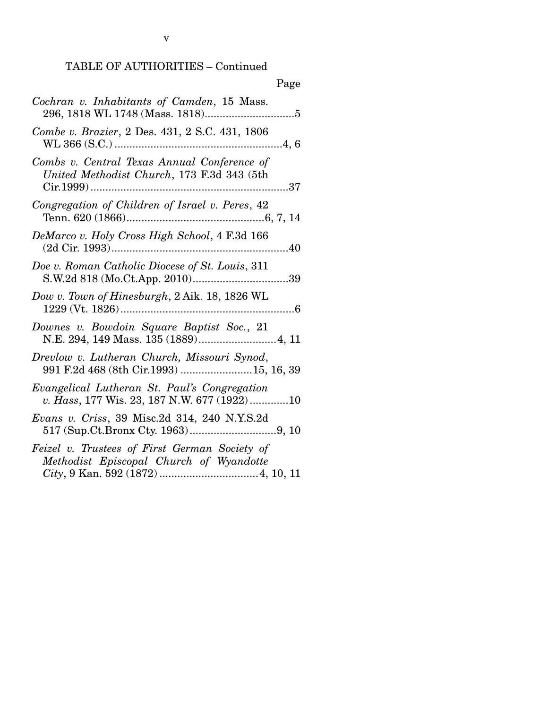| Page                                                                                        |
|---------------------------------------------------------------------------------------------|
| Cochran v. Inhabitants of Camden, 15 Mass.                                                  |
| Combe v. Brazier, 2 Des. 431, 2 S.C. 431, 1806                                              |
| Combs v. Central Texas Annual Conference of<br>United Methodist Church, 173 F.3d 343 (5th   |
| Congregation of Children of Israel v. Peres, 42                                             |
| DeMarco v. Holy Cross High School, 4 F.3d 166                                               |
| Doe v. Roman Catholic Diocese of St. Louis, 311                                             |
| Dow v. Town of Hinesburgh, 2 Aik. 18, 1826 WL                                               |
| Downes v. Bowdoin Square Baptist Soc., 21                                                   |
| Drevlow v. Lutheran Church, Missouri Synod,                                                 |
| Evangelical Lutheran St. Paul's Congregation<br>v. Hass, 177 Wis. 23, 187 N.W. 677 (1922)10 |
| <i>Evans v. Criss</i> , 39 Misc.2d 314, 240 N.Y.S.2d                                        |
| Feizel v. Trustees of First German Society of<br>Methodist Episcopal Church of Wyandotte    |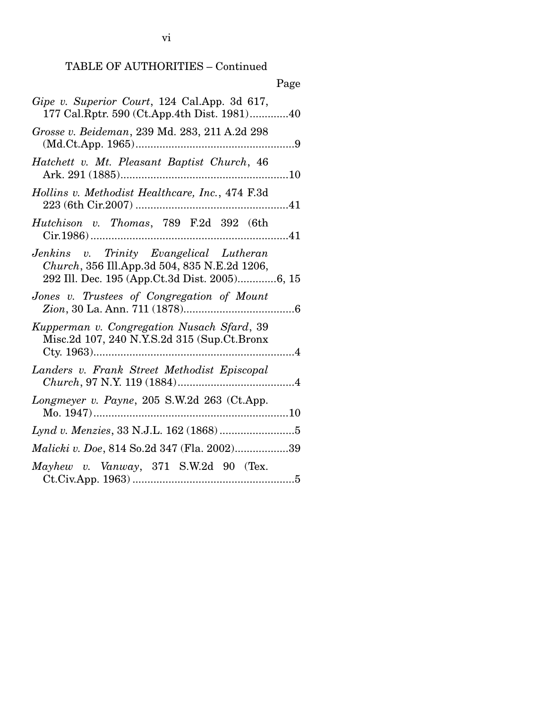|                                                                                                                                          | Page |
|------------------------------------------------------------------------------------------------------------------------------------------|------|
| Gipe v. Superior Court, 124 Cal.App. 3d 617,<br>177 Cal.Rptr. 590 (Ct.App.4th Dist. 1981)40                                              |      |
| Grosse v. Beideman, 239 Md. 283, 211 A.2d 298                                                                                            |      |
| Hatchett v. Mt. Pleasant Baptist Church, 46                                                                                              |      |
| Hollins v. Methodist Healthcare, Inc., 474 F.3d                                                                                          |      |
| Hutchison v. Thomas, 789 F.2d 392 (6th                                                                                                   |      |
| Jenkins v. Trinity Evangelical Lutheran<br>Church, 356 Ill.App.3d 504, 835 N.E.2d 1206,<br>292 Ill. Dec. 195 (App.Ct.3d Dist. 2005)6, 15 |      |
| Jones v. Trustees of Congregation of Mount                                                                                               |      |
| Kupperman v. Congregation Nusach Sfard, 39<br>Misc.2d 107, 240 N.Y.S.2d 315 (Sup.Ct.Bronx                                                |      |
| Landers v. Frank Street Methodist Episcopal                                                                                              |      |
| Longmeyer v. Payne, 205 S.W.2d 263 (Ct.App.                                                                                              |      |
|                                                                                                                                          |      |
| <i>Malicki v. Doe, 814 So.2d 347 (Fla. 2002)39</i>                                                                                       |      |
| Mayhew v. Vanway, 371 S.W.2d 90 (Tex.                                                                                                    |      |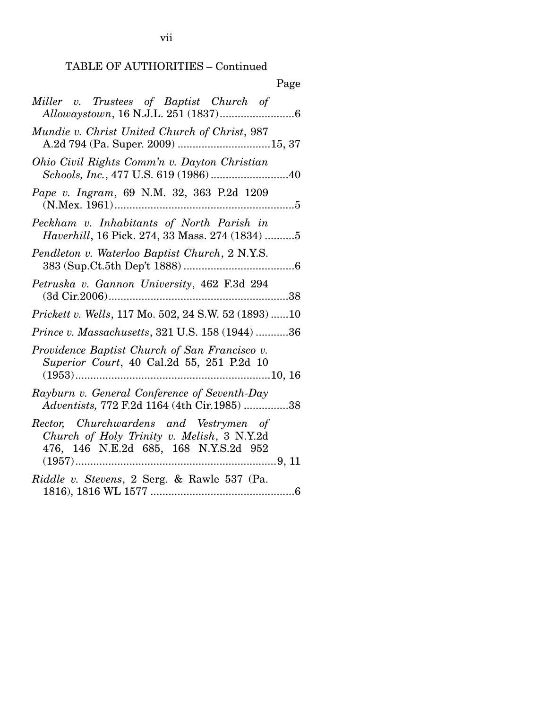| Page                                                                                                                          |
|-------------------------------------------------------------------------------------------------------------------------------|
| Miller v. Trustees of Baptist Church of<br>Allowaystown, 16 N.J.L. 251 (1837)<br>. 6                                          |
| Mundie v. Christ United Church of Christ, 987                                                                                 |
| Ohio Civil Rights Comm'n v. Dayton Christian<br>Schools, Inc., 477 U.S. 619 (1986) 40                                         |
| Pape v. Ingram, 69 N.M. 32, 363 P.2d 1209                                                                                     |
| Peckham v. Inhabitants of North Parish in<br>Haverhill, 16 Pick. 274, 33 Mass. 274 (1834) 5                                   |
| Pendleton v. Waterloo Baptist Church, 2 N.Y.S.                                                                                |
| Petruska v. Gannon University, 462 F.3d 294                                                                                   |
| Prickett v. Wells, 117 Mo. 502, 24 S.W. 52 (1893) 10                                                                          |
| Prince v. Massachusetts, 321 U.S. 158 (1944) 36                                                                               |
| Providence Baptist Church of San Francisco v.<br>Superior Court, 40 Cal.2d 55, 251 P.2d 10                                    |
| Rayburn v. General Conference of Seventh-Day<br>Adventists, 772 F.2d 1164 (4th Cir.1985) 38                                   |
| Rector, Churchwardens and Vestrymen of<br>Church of Holy Trinity v. Melish, 3 N.Y.2d<br>476, 146 N.E.2d 685, 168 N.Y.S.2d 952 |
| Riddle v. Stevens, 2 Serg. & Rawle 537 (Pa.                                                                                   |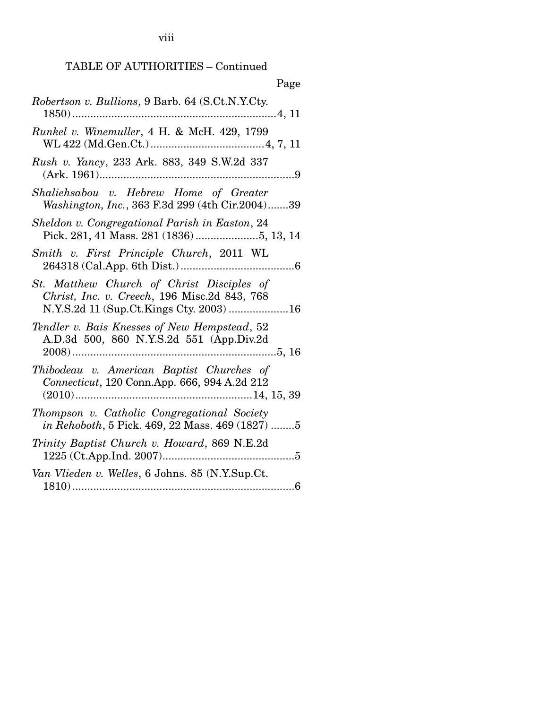viii

| Page                                                                                           |
|------------------------------------------------------------------------------------------------|
| Robertson v. Bullions, 9 Barb. 64 (S.Ct.N.Y.Cty.                                               |
| Runkel v. Winemuller, 4 H. & McH. 429, 1799                                                    |
| Rush v. Yancy, 233 Ark. 883, 349 S.W.2d 337                                                    |
| Shaliehsabou v. Hebrew Home of Greater<br>Washington, Inc., 363 F.3d 299 (4th Cir.2004)39      |
| Sheldon v. Congregational Parish in Easton, 24                                                 |
| Smith v. First Principle Church, 2011 WL                                                       |
| St. Matthew Church of Christ Disciples of<br>Christ, Inc. v. Creech, 196 Misc.2d 843, 768      |
| Tendler v. Bais Knesses of New Hempstead, 52<br>A.D.3d 500, 860 N.Y.S.2d 551 (App.Div.2d       |
| Thibodeau v. American Baptist Churches of<br>Connecticut, 120 Conn.App. 666, 994 A.2d 212      |
| Thompson v. Catholic Congregational Society<br>in Rehoboth, 5 Pick. 469, 22 Mass. 469 (1827) 5 |
| Trinity Baptist Church v. Howard, 869 N.E.2d                                                   |
| Van Vlieden v. Welles, 6 Johns. 85 (N.Y.Sup.Ct.                                                |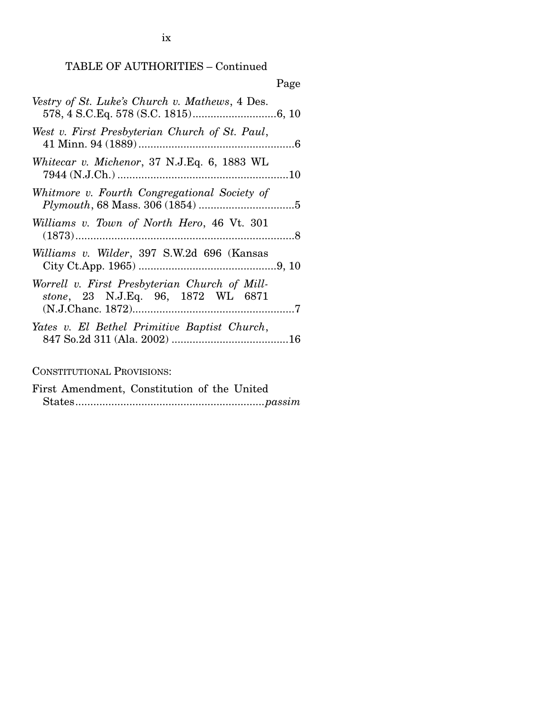|                                                                                     | Page |
|-------------------------------------------------------------------------------------|------|
| Vestry of St. Luke's Church v. Mathews, 4 Des.                                      |      |
| West v. First Presbyterian Church of St. Paul,                                      |      |
| Whitecar v. Michenor, 37 N.J.Eq. 6, 1883 WL                                         |      |
| Whitmore v. Fourth Congregational Society of                                        |      |
| Williams v. Town of North Hero, 46 Vt. 301                                          |      |
| Williams v. Wilder, 397 S.W.2d 696 (Kansas                                          |      |
| Worrell v. First Presbyterian Church of Mill-<br>stone, 23 N.J.Eq. 96, 1872 WL 6871 |      |
| Yates v. El Bethel Primitive Baptist Church,                                        |      |

CONSTITUTIONAL PROVISIONS:

First Amendment, Constitution of the United States ............................................................... *passim*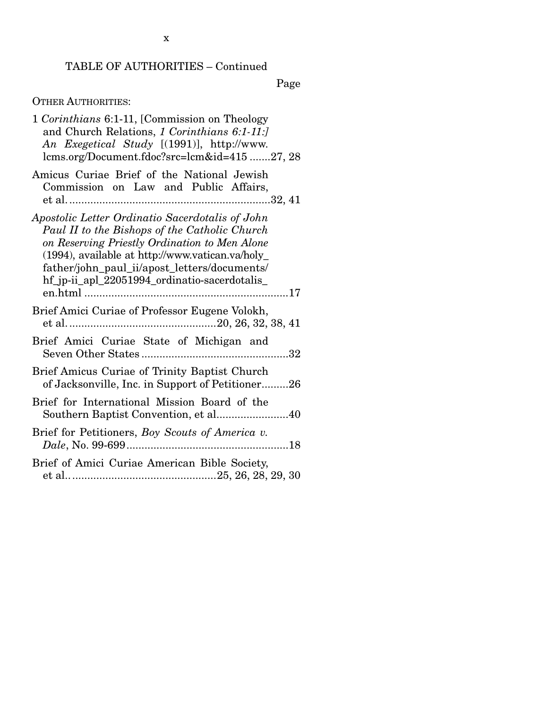Page

# OTHER AUTHORITIES:

| 1 Corinthians 6:1-11, [Commission on Theology<br>and Church Relations, 1 Corinthians 6:1-11:]<br>An Exegetical Study [(1991)], http://www.<br>lcms.org/Document.fdoc?src=lcm&id=41527, 28                                                                                                              |
|--------------------------------------------------------------------------------------------------------------------------------------------------------------------------------------------------------------------------------------------------------------------------------------------------------|
| Amicus Curiae Brief of the National Jewish<br>Commission on Law and Public Affairs,                                                                                                                                                                                                                    |
| Apostolic Letter Ordinatio Sacerdotalis of John<br>Paul II to the Bishops of the Catholic Church<br>on Reserving Priestly Ordination to Men Alone<br>(1994), available at http://www.vatican.va/holy_<br>father/john_paul_ii/apost_letters/documents/<br>hf_jp-ii_apl_22051994_ordinatio-sacerdotalis_ |
| Brief Amici Curiae of Professor Eugene Volokh,                                                                                                                                                                                                                                                         |
| Brief Amici Curiae State of Michigan and                                                                                                                                                                                                                                                               |
| Brief Amicus Curiae of Trinity Baptist Church<br>of Jacksonville, Inc. in Support of Petitioner26                                                                                                                                                                                                      |
| Brief for International Mission Board of the<br>Southern Baptist Convention, et al40                                                                                                                                                                                                                   |
| Brief for Petitioners, Boy Scouts of America v.                                                                                                                                                                                                                                                        |
| Brief of Amici Curiae American Bible Society,                                                                                                                                                                                                                                                          |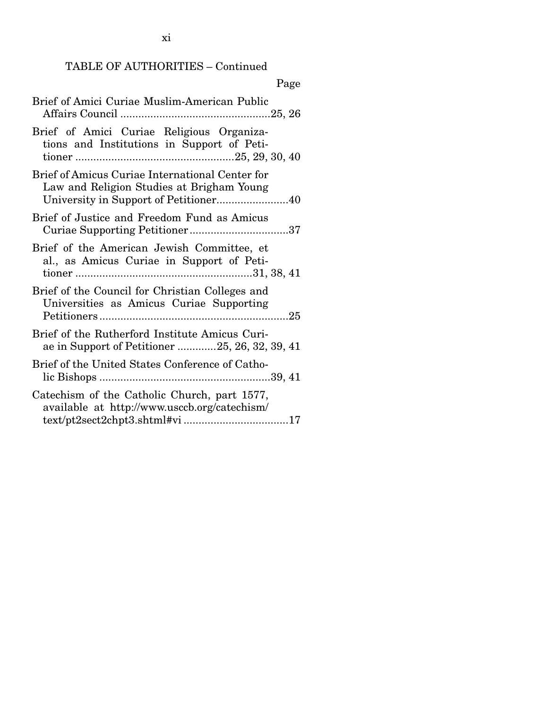xi

| Page                                                                                             |
|--------------------------------------------------------------------------------------------------|
| Brief of Amici Curiae Muslim-American Public                                                     |
| Brief of Amici Curiae Religious Organiza-<br>tions and Institutions in Support of Peti-          |
| Brief of Amicus Curiae International Center for<br>Law and Religion Studies at Brigham Young     |
| Brief of Justice and Freedom Fund as Amicus                                                      |
| Brief of the American Jewish Committee, et<br>al., as Amicus Curiae in Support of Peti-          |
| Brief of the Council for Christian Colleges and<br>Universities as Amicus Curiae Supporting      |
| Brief of the Rutherford Institute Amicus Curi-<br>ae in Support of Petitioner 25, 26, 32, 39, 41 |
| Brief of the United States Conference of Catho-                                                  |
| Catechism of the Catholic Church, part 1577,<br>available at http://www.usccb.org/catechism/     |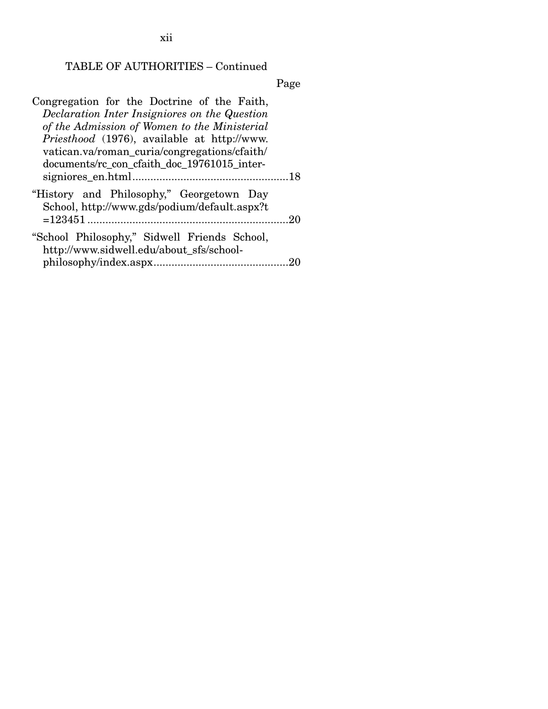xii

# TABLE OF AUTHORITIES – Continued

Page

| Congregation for the Doctrine of the Faith,                                              |
|------------------------------------------------------------------------------------------|
| Declaration Inter Insigniores on the Question                                            |
| of the Admission of Women to the Ministerial                                             |
| <i>Priesthood</i> (1976), available at http://www.                                       |
| vatican.va/roman_curia/congregations/cfaith/                                             |
| documents/rc_con_cfaith_doc_19761015_inter-                                              |
|                                                                                          |
| "History and Philosophy," Georgetown Day<br>School, http://www.gds/podium/default.aspx?t |
| $= 123451$<br>20                                                                         |
| "School Philosophy," Sidwell Friends School,<br>http://www.sidwell.edu/about_sfs/school- |
|                                                                                          |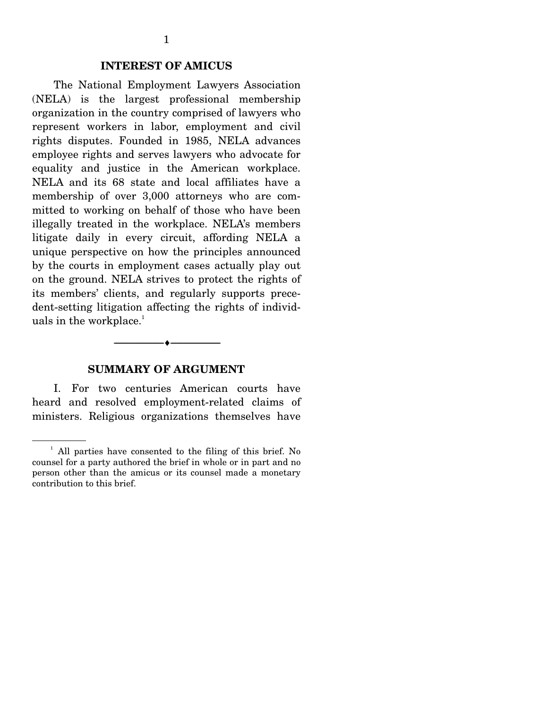#### **INTEREST OF AMICUS**

 The National Employment Lawyers Association (NELA) is the largest professional membership organization in the country comprised of lawyers who represent workers in labor, employment and civil rights disputes. Founded in 1985, NELA advances employee rights and serves lawyers who advocate for equality and justice in the American workplace. NELA and its 68 state and local affiliates have a membership of over 3,000 attorneys who are committed to working on behalf of those who have been illegally treated in the workplace. NELA's members litigate daily in every circuit, affording NELA a unique perspective on how the principles announced by the courts in employment cases actually play out on the ground. NELA strives to protect the rights of its members' clients, and regularly supports precedent-setting litigation affecting the rights of individuals in the workplace.<sup>1</sup>

#### **SUMMARY OF ARGUMENT**

--------------------------------- ♦ ---------------------------------

 I. For two centuries American courts have heard and resolved employment-related claims of ministers. Religious organizations themselves have

<sup>&</sup>lt;sup>1</sup> All parties have consented to the filing of this brief. No counsel for a party authored the brief in whole or in part and no person other than the amicus or its counsel made a monetary contribution to this brief.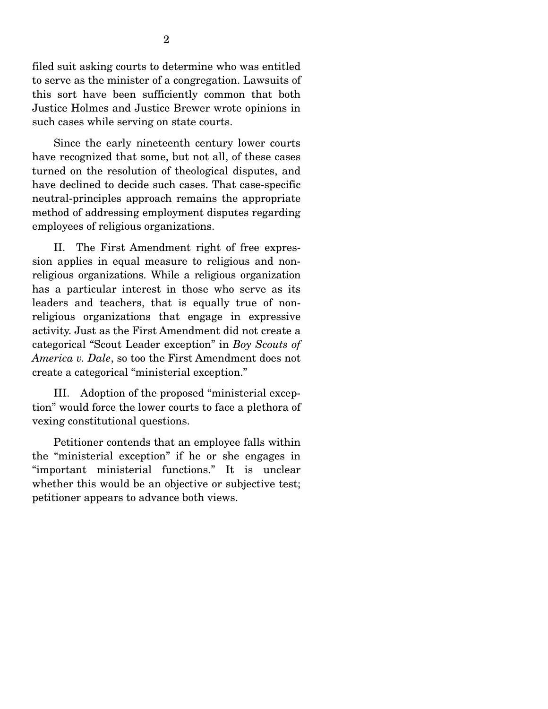filed suit asking courts to determine who was entitled to serve as the minister of a congregation. Lawsuits of this sort have been sufficiently common that both Justice Holmes and Justice Brewer wrote opinions in such cases while serving on state courts.

 Since the early nineteenth century lower courts have recognized that some, but not all, of these cases turned on the resolution of theological disputes, and have declined to decide such cases. That case-specific neutral-principles approach remains the appropriate method of addressing employment disputes regarding employees of religious organizations.

 II. The First Amendment right of free expression applies in equal measure to religious and nonreligious organizations. While a religious organization has a particular interest in those who serve as its leaders and teachers, that is equally true of nonreligious organizations that engage in expressive activity. Just as the First Amendment did not create a categorical "Scout Leader exception" in *Boy Scouts of America v. Dale*, so too the First Amendment does not create a categorical "ministerial exception."

 III. Adoption of the proposed "ministerial exception" would force the lower courts to face a plethora of vexing constitutional questions.

 Petitioner contends that an employee falls within the "ministerial exception" if he or she engages in "important ministerial functions." It is unclear whether this would be an objective or subjective test; petitioner appears to advance both views.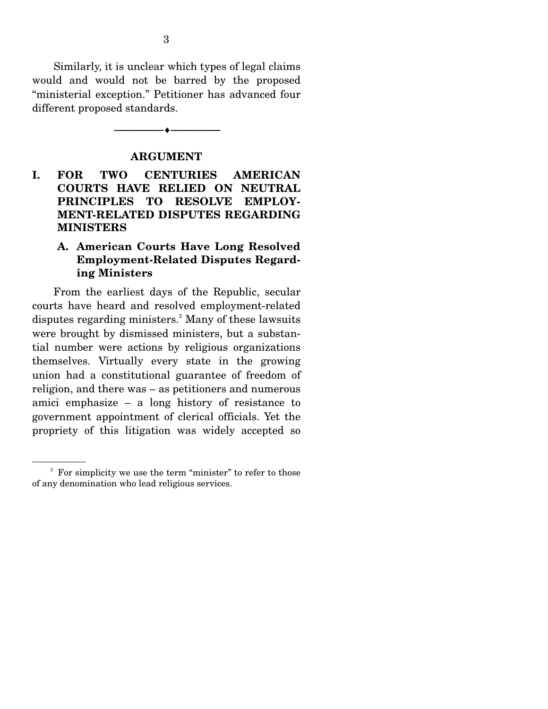Similarly, it is unclear which types of legal claims would and would not be barred by the proposed "ministerial exception." Petitioner has advanced four different proposed standards.

**ARGUMENT** 

--------------------------------- ♦ ---------------------------------

**I. FOR TWO CENTURIES AMERICAN COURTS HAVE RELIED ON NEUTRAL PRINCIPLES TO RESOLVE EMPLOY-MENT-RELATED DISPUTES REGARDING MINISTERS** 

## **A. American Courts Have Long Resolved Employment-Related Disputes Regarding Ministers**

 From the earliest days of the Republic, secular courts have heard and resolved employment-related disputes regarding ministers.<sup>2</sup> Many of these lawsuits were brought by dismissed ministers, but a substantial number were actions by religious organizations themselves. Virtually every state in the growing union had a constitutional guarantee of freedom of religion, and there was – as petitioners and numerous amici emphasize – a long history of resistance to government appointment of clerical officials. Yet the propriety of this litigation was widely accepted so

<sup>&</sup>lt;sup>2</sup> For simplicity we use the term "minister" to refer to those of any denomination who lead religious services.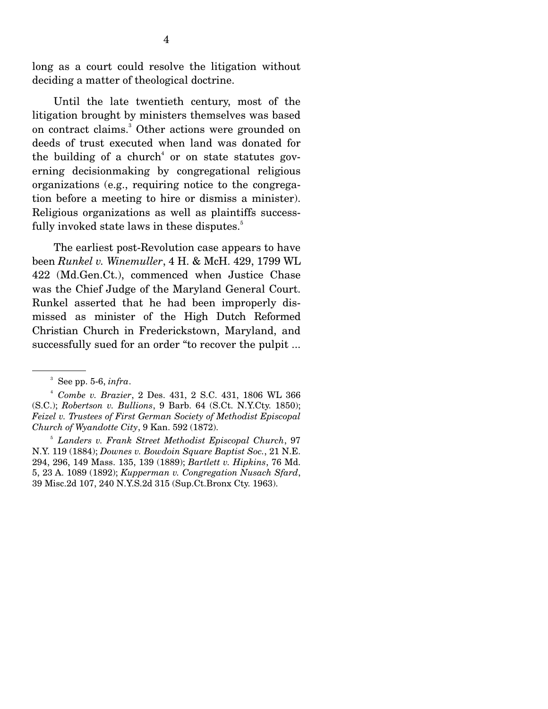long as a court could resolve the litigation without deciding a matter of theological doctrine.

 Until the late twentieth century, most of the litigation brought by ministers themselves was based on contract claims.<sup>3</sup> Other actions were grounded on deeds of trust executed when land was donated for the building of a church<sup>4</sup> or on state statutes governing decisionmaking by congregational religious organizations (e.g., requiring notice to the congregation before a meeting to hire or dismiss a minister). Religious organizations as well as plaintiffs successfully invoked state laws in these disputes.<sup>5</sup>

 The earliest post-Revolution case appears to have been *Runkel v. Winemuller*, 4 H. & McH. 429, 1799 WL 422 (Md.Gen.Ct.), commenced when Justice Chase was the Chief Judge of the Maryland General Court. Runkel asserted that he had been improperly dismissed as minister of the High Dutch Reformed Christian Church in Frederickstown, Maryland, and successfully sued for an order "to recover the pulpit ...

<sup>5</sup> *Landers v. Frank Street Methodist Episcopal Church*, 97 N.Y. 119 (1884); *Downes v. Bowdoin Square Baptist Soc.*, 21 N.E. 294, 296, 149 Mass. 135, 139 (1889); *Bartlett v. Hipkins*, 76 Md. 5, 23 A. 1089 (1892); *Kupperman v. Congregation Nusach Sfard*, 39 Misc.2d 107, 240 N.Y.S.2d 315 (Sup.Ct.Bronx Cty. 1963).

 $3$  See pp. 5-6, *infra*.

<sup>4</sup> *Combe v. Brazier*, 2 Des. 431, 2 S.C. 431, 1806 WL 366 (S.C.); *Robertson v. Bullions*, 9 Barb. 64 (S.Ct. N.Y.Cty. 1850); *Feizel v. Trustees of First German Society of Methodist Episcopal Church of Wyandotte City*, 9 Kan. 592 (1872).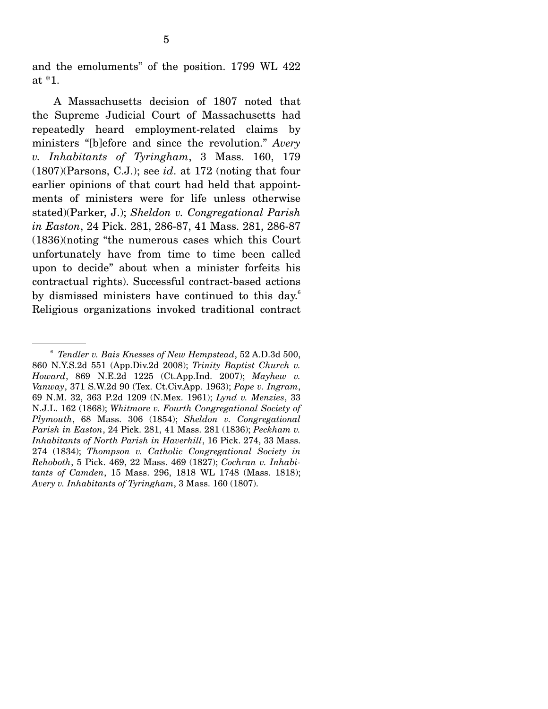and the emoluments" of the position. 1799 WL 422 at \*1.

 A Massachusetts decision of 1807 noted that the Supreme Judicial Court of Massachusetts had repeatedly heard employment-related claims by ministers "[b]efore and since the revolution." *Avery v. Inhabitants of Tyringham*, 3 Mass. 160, 179 (1807)(Parsons, C.J.); see *id*. at 172 (noting that four earlier opinions of that court had held that appointments of ministers were for life unless otherwise stated)(Parker, J.); *Sheldon v. Congregational Parish in Easton*, 24 Pick. 281, 286-87, 41 Mass. 281, 286-87 (1836)(noting "the numerous cases which this Court unfortunately have from time to time been called upon to decide" about when a minister forfeits his contractual rights). Successful contract-based actions by dismissed ministers have continued to this day.<sup>6</sup> Religious organizations invoked traditional contract

<sup>6</sup> *Tendler v. Bais Knesses of New Hempstead*, 52 A.D.3d 500, 860 N.Y.S.2d 551 (App.Div.2d 2008); *Trinity Baptist Church v. Howard*, 869 N.E.2d 1225 (Ct.App.Ind. 2007); *Mayhew v. Vanway*, 371 S.W.2d 90 (Tex. Ct.Civ.App. 1963); *Pape v. Ingram*, 69 N.M. 32, 363 P.2d 1209 (N.Mex. 1961); *Lynd v. Menzies*, 33 N.J.L. 162 (1868); *Whitmore v. Fourth Congregational Society of Plymouth*, 68 Mass. 306 (1854); *Sheldon v. Congregational Parish in Easton*, 24 Pick. 281, 41 Mass. 281 (1836); *Peckham v. Inhabitants of North Parish in Haverhill*, 16 Pick. 274, 33 Mass. 274 (1834); *Thompson v. Catholic Congregational Society in Rehoboth*, 5 Pick. 469, 22 Mass. 469 (1827); *Cochran v. Inhabitants of Camden*, 15 Mass. 296, 1818 WL 1748 (Mass. 1818); *Avery v. Inhabitants of Tyringham*, 3 Mass. 160 (1807).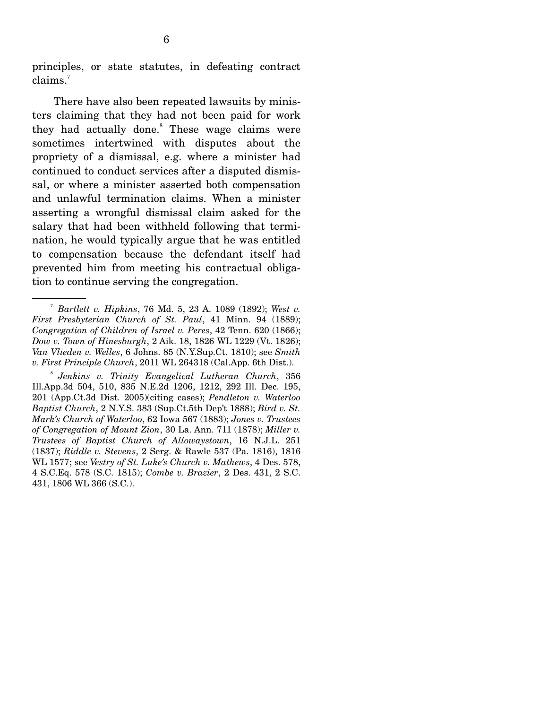principles, or state statutes, in defeating contract claims.7

 There have also been repeated lawsuits by ministers claiming that they had not been paid for work they had actually done.<sup>8</sup> These wage claims were sometimes intertwined with disputes about the propriety of a dismissal, e.g. where a minister had continued to conduct services after a disputed dismissal, or where a minister asserted both compensation and unlawful termination claims. When a minister asserting a wrongful dismissal claim asked for the salary that had been withheld following that termination, he would typically argue that he was entitled to compensation because the defendant itself had prevented him from meeting his contractual obligation to continue serving the congregation.

<sup>8</sup> *Jenkins v. Trinity Evangelical Lutheran Church*, 356 Ill.App.3d 504, 510, 835 N.E.2d 1206, 1212, 292 Ill. Dec. 195, 201 (App.Ct.3d Dist. 2005)(citing cases); *Pendleton v. Waterloo Baptist Church*, 2 N.Y.S. 383 (Sup.Ct.5th Dep't 1888); *Bird v. St. Mark's Church of Waterloo*, 62 Iowa 567 (1883); *Jones v. Trustees of Congregation of Mount Zion*, 30 La. Ann. 711 (1878); *Miller v. Trustees of Baptist Church of Allowaystown*, 16 N.J.L. 251 (1837); *Riddle v. Stevens*, 2 Serg. & Rawle 537 (Pa. 1816), 1816 WL 1577; see *Vestry of St. Luke's Church v. Mathews*, 4 Des. 578, 4 S.C.Eq. 578 (S.C. 1815); *Combe v. Brazier*, 2 Des. 431, 2 S.C. 431, 1806 WL 366 (S.C.).

<sup>7</sup> *Bartlett v. Hipkins*, 76 Md. 5, 23 A. 1089 (1892); *West v. First Presbyterian Church of St. Paul*, 41 Minn. 94 (1889); *Congregation of Children of Israel v. Peres*, 42 Tenn. 620 (1866); *Dow v. Town of Hinesburgh*, 2 Aik. 18, 1826 WL 1229 (Vt. 1826); *Van Vlieden v. Welles*, 6 Johns. 85 (N.Y.Sup.Ct. 1810); see *Smith v. First Principle Church*, 2011 WL 264318 (Cal.App. 6th Dist.).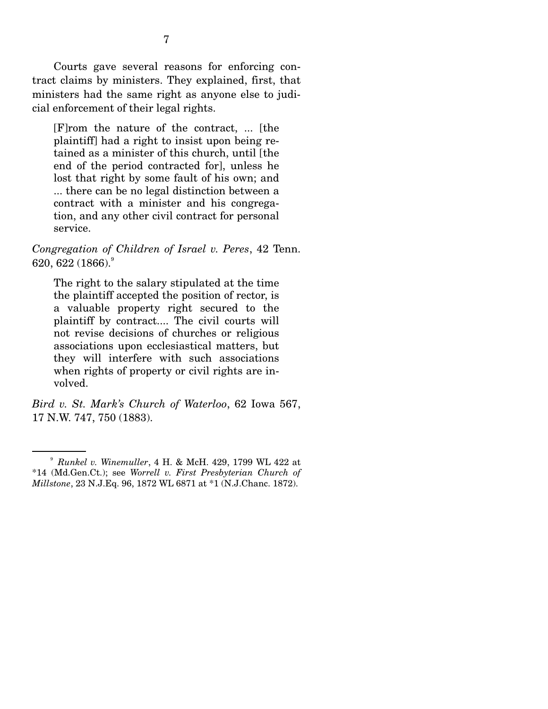Courts gave several reasons for enforcing contract claims by ministers. They explained, first, that ministers had the same right as anyone else to judicial enforcement of their legal rights.

[F]rom the nature of the contract, ... [the plaintiff] had a right to insist upon being retained as a minister of this church, until [the end of the period contracted for], unless he lost that right by some fault of his own; and ... there can be no legal distinction between a contract with a minister and his congregation, and any other civil contract for personal service.

*Congregation of Children of Israel v. Peres*, 42 Tenn. 620, 622 (1866).<sup>9</sup>

The right to the salary stipulated at the time the plaintiff accepted the position of rector, is a valuable property right secured to the plaintiff by contract.... The civil courts will not revise decisions of churches or religious associations upon ecclesiastical matters, but they will interfere with such associations when rights of property or civil rights are involved.

*Bird v. St. Mark's Church of Waterloo*, 62 Iowa 567, 17 N.W. 747, 750 (1883).

<sup>9</sup> *Runkel v. Winemuller*, 4 H. & McH. 429, 1799 WL 422 at \*14 (Md.Gen.Ct.); see *Worrell v. First Presbyterian Church of Millstone*, 23 N.J.Eq. 96, 1872 WL 6871 at \*1 (N.J.Chanc. 1872).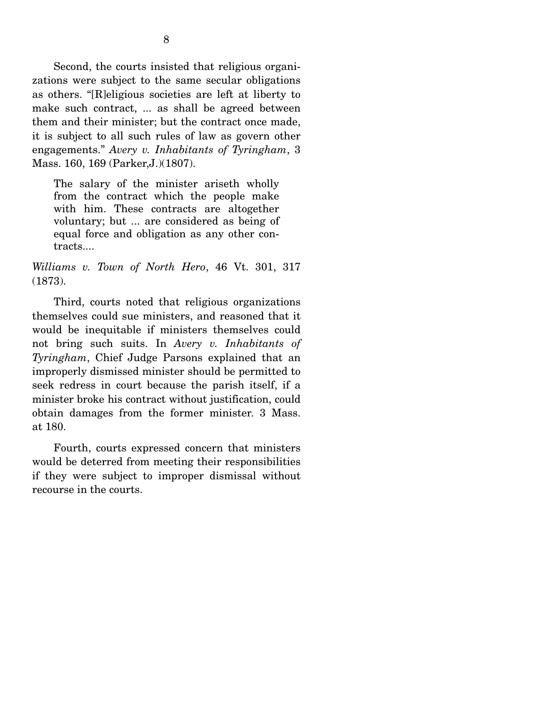Second, the courts insisted that religious organizations were subject to the same secular obligations as others. "[R]eligious societies are left at liberty to make such contract, ... as shall be agreed between them and their minister; but the contract once made, it is subject to all such rules of law as govern other engagements." *Avery v. Inhabitants of Tyringham*, 3 Mass. 160, 169 (Parker,J.)(1807).

The salary of the minister ariseth wholly from the contract which the people make with him. These contracts are altogether voluntary; but ... are considered as being of equal force and obligation as any other contracts....

*Williams v. Town of North Hero*, 46 Vt. 301, 317 (1873).

 Third, courts noted that religious organizations themselves could sue ministers, and reasoned that it would be inequitable if ministers themselves could not bring such suits. In *Avery v. Inhabitants of Tyringham*, Chief Judge Parsons explained that an improperly dismissed minister should be permitted to seek redress in court because the parish itself, if a minister broke his contract without justification, could obtain damages from the former minister. 3 Mass. at 180.

 Fourth, courts expressed concern that ministers would be deterred from meeting their responsibilities if they were subject to improper dismissal without recourse in the courts.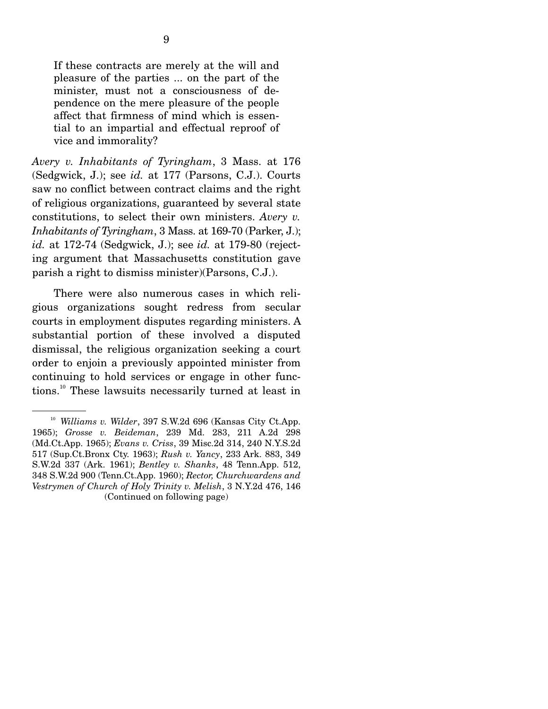If these contracts are merely at the will and pleasure of the parties ... on the part of the minister, must not a consciousness of dependence on the mere pleasure of the people affect that firmness of mind which is essential to an impartial and effectual reproof of vice and immorality?

*Avery v. Inhabitants of Tyringham*, 3 Mass. at 176 (Sedgwick, J.); see *id.* at 177 (Parsons, C.J.). Courts saw no conflict between contract claims and the right of religious organizations, guaranteed by several state constitutions, to select their own ministers. *Avery v. Inhabitants of Tyringham*, 3 Mass. at 169-70 (Parker, J.); *id.* at 172-74 (Sedgwick, J.); see *id.* at 179-80 (rejecting argument that Massachusetts constitution gave parish a right to dismiss minister)(Parsons, C.J.).

 There were also numerous cases in which religious organizations sought redress from secular courts in employment disputes regarding ministers. A substantial portion of these involved a disputed dismissal, the religious organization seeking a court order to enjoin a previously appointed minister from continuing to hold services or engage in other functions.10 These lawsuits necessarily turned at least in

<sup>10</sup> *Williams v. Wilder*, 397 S.W.2d 696 (Kansas City Ct.App. 1965); *Grosse v. Beideman*, 239 Md. 283, 211 A.2d 298 (Md.Ct.App. 1965); *Evans v. Criss*, 39 Misc.2d 314, 240 N.Y.S.2d 517 (Sup.Ct.Bronx Cty. 1963); *Rush v. Yancy*, 233 Ark. 883, 349 S.W.2d 337 (Ark. 1961); *Bentley v. Shanks*, 48 Tenn.App. 512, 348 S.W.2d 900 (Tenn.Ct.App. 1960); *Rector, Churchwardens and Vestrymen of Church of Holy Trinity v. Melish*, 3 N.Y.2d 476, 146 (Continued on following page)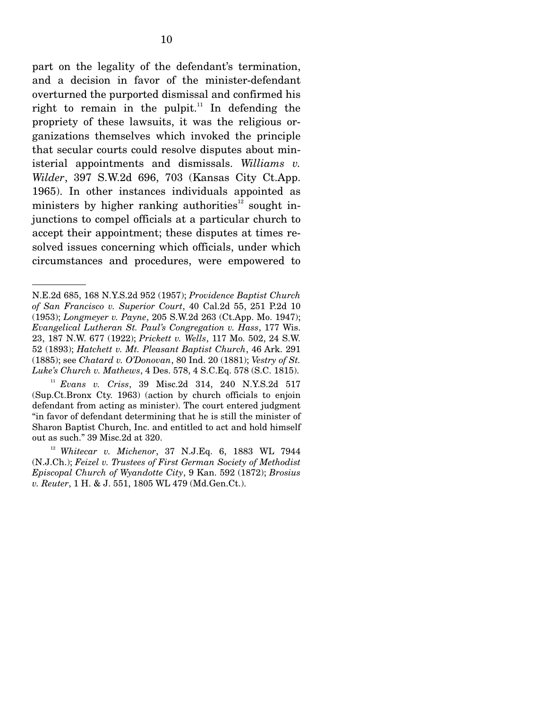part on the legality of the defendant's termination, and a decision in favor of the minister-defendant overturned the purported dismissal and confirmed his right to remain in the pulpit.<sup>11</sup> In defending the propriety of these lawsuits, it was the religious organizations themselves which invoked the principle that secular courts could resolve disputes about ministerial appointments and dismissals. *Williams v. Wilder*, 397 S.W.2d 696, 703 (Kansas City Ct.App. 1965). In other instances individuals appointed as ministers by higher ranking authorities<sup>12</sup> sought injunctions to compel officials at a particular church to accept their appointment; these disputes at times resolved issues concerning which officials, under which circumstances and procedures, were empowered to

N.E.2d 685, 168 N.Y.S.2d 952 (1957); *Providence Baptist Church of San Francisco v. Superior Court*, 40 Cal.2d 55, 251 P.2d 10 (1953); *Longmeyer v. Payne*, 205 S.W.2d 263 (Ct.App. Mo. 1947); *Evangelical Lutheran St. Paul's Congregation v. Hass*, 177 Wis. 23, 187 N.W. 677 (1922); *Prickett v. Wells*, 117 Mo. 502, 24 S.W. 52 (1893); *Hatchett v. Mt. Pleasant Baptist Church*, 46 Ark. 291 (1885); see *Chatard v. O'Donovan*, 80 Ind. 20 (1881); *Vestry of St. Luke's Church v. Mathews*, 4 Des. 578, 4 S.C.Eq. 578 (S.C. 1815).

<sup>11</sup> *Evans v. Criss*, 39 Misc.2d 314, 240 N.Y.S.2d 517 (Sup.Ct.Bronx Cty. 1963) (action by church officials to enjoin defendant from acting as minister). The court entered judgment "in favor of defendant determining that he is still the minister of Sharon Baptist Church, Inc. and entitled to act and hold himself out as such." 39 Misc.2d at 320.

<sup>12</sup> *Whitecar v. Michenor*, 37 N.J.Eq. 6, 1883 WL 7944 (N.J.Ch.); *Feizel v. Trustees of First German Society of Methodist Episcopal Church of Wyandotte City*, 9 Kan. 592 (1872); *Brosius v. Reuter*, 1 H. & J. 551, 1805 WL 479 (Md.Gen.Ct.).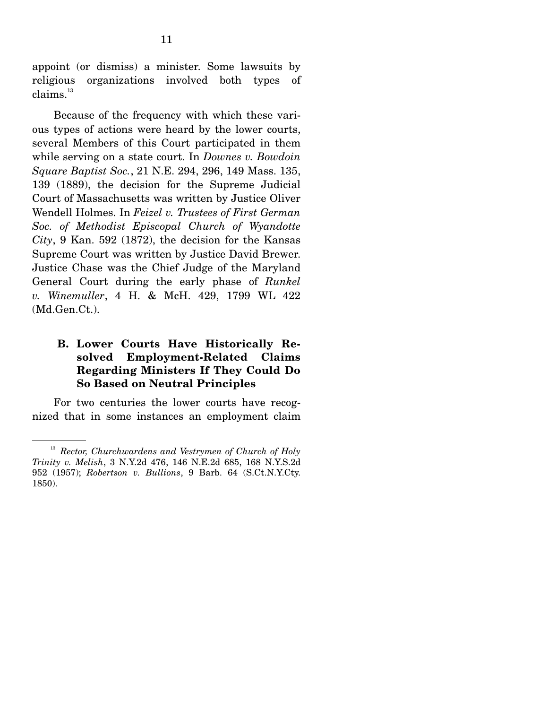appoint (or dismiss) a minister. Some lawsuits by religious organizations involved both types of  $clains.<sup>13</sup>$ 

 Because of the frequency with which these various types of actions were heard by the lower courts, several Members of this Court participated in them while serving on a state court. In *Downes v. Bowdoin Square Baptist Soc.*, 21 N.E. 294, 296, 149 Mass. 135, 139 (1889), the decision for the Supreme Judicial Court of Massachusetts was written by Justice Oliver Wendell Holmes. In *Feizel v. Trustees of First German Soc. of Methodist Episcopal Church of Wyandotte City*, 9 Kan. 592 (1872), the decision for the Kansas Supreme Court was written by Justice David Brewer. Justice Chase was the Chief Judge of the Maryland General Court during the early phase of *Runkel v. Winemuller*, 4 H. & McH. 429, 1799 WL 422 (Md.Gen.Ct.).

## **B. Lower Courts Have Historically Resolved Employment-Related Claims Regarding Ministers If They Could Do So Based on Neutral Principles**

 For two centuries the lower courts have recognized that in some instances an employment claim

<sup>13</sup> *Rector, Churchwardens and Vestrymen of Church of Holy Trinity v. Melish*, 3 N.Y.2d 476, 146 N.E.2d 685, 168 N.Y.S.2d 952 (1957); *Robertson v. Bullions*, 9 Barb. 64 (S.Ct.N.Y.Cty. 1850).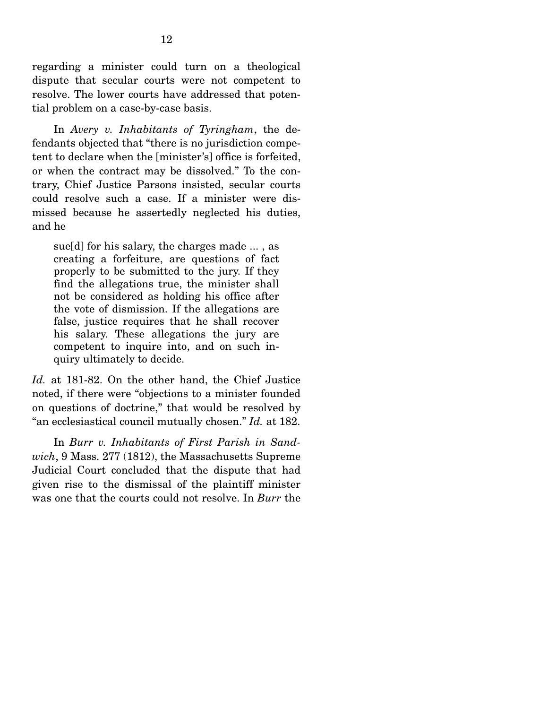regarding a minister could turn on a theological dispute that secular courts were not competent to resolve. The lower courts have addressed that potential problem on a case-by-case basis.

 In *Avery v. Inhabitants of Tyringham*, the defendants objected that "there is no jurisdiction competent to declare when the [minister's] office is forfeited, or when the contract may be dissolved." To the contrary, Chief Justice Parsons insisted, secular courts could resolve such a case. If a minister were dismissed because he assertedly neglected his duties, and he

sue[d] for his salary, the charges made ... , as creating a forfeiture, are questions of fact properly to be submitted to the jury. If they find the allegations true, the minister shall not be considered as holding his office after the vote of dismission. If the allegations are false, justice requires that he shall recover his salary. These allegations the jury are competent to inquire into, and on such inquiry ultimately to decide.

*Id.* at 181-82. On the other hand, the Chief Justice noted, if there were "objections to a minister founded on questions of doctrine," that would be resolved by "an ecclesiastical council mutually chosen." *Id.* at 182.

 In *Burr v. Inhabitants of First Parish in Sandwich*, 9 Mass. 277 (1812), the Massachusetts Supreme Judicial Court concluded that the dispute that had given rise to the dismissal of the plaintiff minister was one that the courts could not resolve. In *Burr* the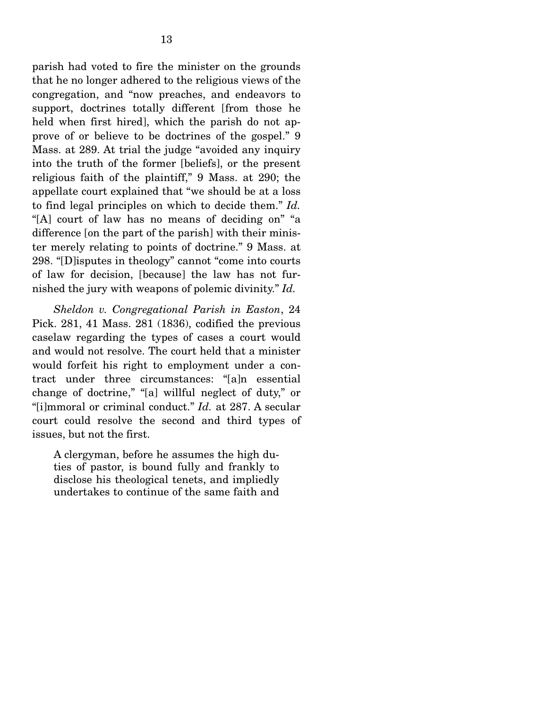parish had voted to fire the minister on the grounds that he no longer adhered to the religious views of the congregation, and "now preaches, and endeavors to support, doctrines totally different [from those he held when first hired], which the parish do not approve of or believe to be doctrines of the gospel." 9 Mass. at 289. At trial the judge "avoided any inquiry into the truth of the former [beliefs], or the present religious faith of the plaintiff," 9 Mass. at 290; the appellate court explained that "we should be at a loss to find legal principles on which to decide them." *Id.* "[A] court of law has no means of deciding on" "a difference [on the part of the parish] with their minister merely relating to points of doctrine." 9 Mass. at 298. "[D]isputes in theology" cannot "come into courts of law for decision, [because] the law has not furnished the jury with weapons of polemic divinity." *Id.*

*Sheldon v. Congregational Parish in Easton*, 24 Pick. 281, 41 Mass. 281 (1836), codified the previous caselaw regarding the types of cases a court would and would not resolve. The court held that a minister would forfeit his right to employment under a contract under three circumstances: "[a]n essential change of doctrine," "[a] willful neglect of duty," or "[i]mmoral or criminal conduct." *Id.* at 287. A secular court could resolve the second and third types of issues, but not the first.

A clergyman, before he assumes the high duties of pastor, is bound fully and frankly to disclose his theological tenets, and impliedly undertakes to continue of the same faith and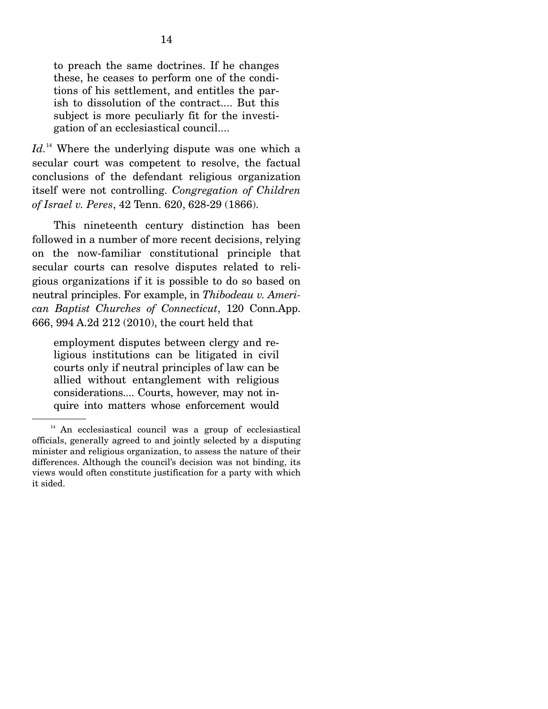to preach the same doctrines. If he changes these, he ceases to perform one of the conditions of his settlement, and entitles the parish to dissolution of the contract.... But this subject is more peculiarly fit for the investigation of an ecclesiastical council....

Id.<sup>14</sup> Where the underlying dispute was one which a secular court was competent to resolve, the factual conclusions of the defendant religious organization itself were not controlling. *Congregation of Children of Israel v. Peres*, 42 Tenn. 620, 628-29 (1866).

 This nineteenth century distinction has been followed in a number of more recent decisions, relying on the now-familiar constitutional principle that secular courts can resolve disputes related to religious organizations if it is possible to do so based on neutral principles. For example, in *Thibodeau v. American Baptist Churches of Connecticut*, 120 Conn.App. 666, 994 A.2d 212 (2010), the court held that

employment disputes between clergy and religious institutions can be litigated in civil courts only if neutral principles of law can be allied without entanglement with religious considerations.... Courts, however, may not inquire into matters whose enforcement would

 $14$  An ecclesiastical council was a group of ecclesiastical officials, generally agreed to and jointly selected by a disputing minister and religious organization, to assess the nature of their differences. Although the council's decision was not binding, its views would often constitute justification for a party with which it sided.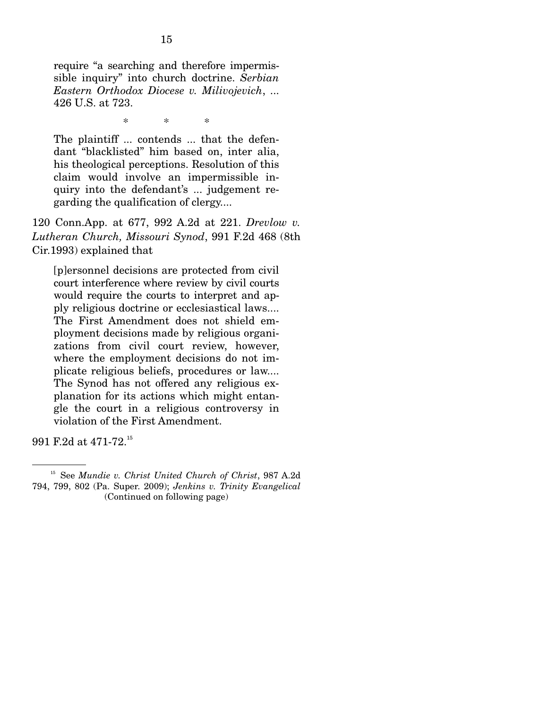require "a searching and therefore impermissible inquiry" into church doctrine. *Serbian Eastern Orthodox Diocese v. Milivojevich*, ... 426 U.S. at 723.

\* \* \*

The plaintiff ... contends ... that the defendant "blacklisted" him based on, inter alia, his theological perceptions. Resolution of this claim would involve an impermissible inquiry into the defendant's ... judgement regarding the qualification of clergy....

120 Conn.App. at 677, 992 A.2d at 221. *Drevlow v. Lutheran Church, Missouri Synod*, 991 F.2d 468 (8th Cir.1993) explained that

[p]ersonnel decisions are protected from civil court interference where review by civil courts would require the courts to interpret and apply religious doctrine or ecclesiastical laws.... The First Amendment does not shield employment decisions made by religious organizations from civil court review, however, where the employment decisions do not implicate religious beliefs, procedures or law.... The Synod has not offered any religious explanation for its actions which might entangle the court in a religious controversy in violation of the First Amendment.

991 F.2d at 471-72.15

<sup>15</sup> See *Mundie v. Christ United Church of Christ*, 987 A.2d 794, 799, 802 (Pa. Super. 2009); *Jenkins v. Trinity Evangelical*  (Continued on following page)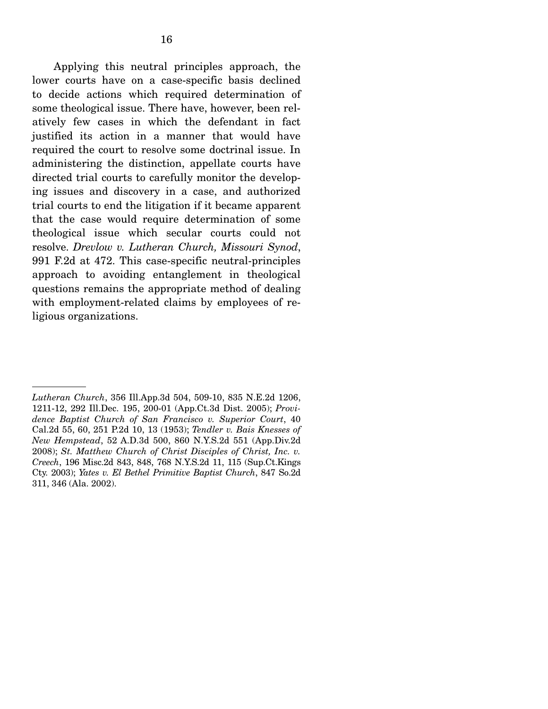Applying this neutral principles approach, the lower courts have on a case-specific basis declined to decide actions which required determination of some theological issue. There have, however, been relatively few cases in which the defendant in fact justified its action in a manner that would have required the court to resolve some doctrinal issue. In administering the distinction, appellate courts have directed trial courts to carefully monitor the developing issues and discovery in a case, and authorized trial courts to end the litigation if it became apparent that the case would require determination of some theological issue which secular courts could not resolve. *Drevlow v. Lutheran Church, Missouri Synod*, 991 F.2d at 472. This case-specific neutral-principles approach to avoiding entanglement in theological questions remains the appropriate method of dealing with employment-related claims by employees of religious organizations.

*Lutheran Church*, 356 Ill.App.3d 504, 509-10, 835 N.E.2d 1206, 1211-12, 292 Ill.Dec. 195, 200-01 (App.Ct.3d Dist. 2005); *Providence Baptist Church of San Francisco v. Superior Court*, 40 Cal.2d 55, 60, 251 P.2d 10, 13 (1953); *Tendler v. Bais Knesses of New Hempstead*, 52 A.D.3d 500, 860 N.Y.S.2d 551 (App.Div.2d 2008); *St. Matthew Church of Christ Disciples of Christ, Inc. v. Creech*, 196 Misc.2d 843, 848, 768 N.Y.S.2d 11, 115 (Sup.Ct.Kings Cty. 2003); *Yates v. El Bethel Primitive Baptist Church*, 847 So.2d 311, 346 (Ala. 2002).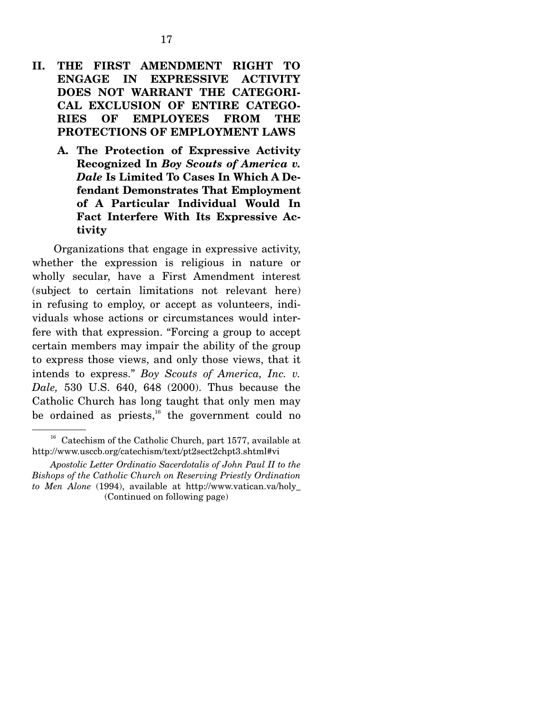## **II. THE FIRST AMENDMENT RIGHT TO ENGAGE IN EXPRESSIVE ACTIVITY DOES NOT WARRANT THE CATEGORI-CAL EXCLUSION OF ENTIRE CATEGO-RIES OF EMPLOYEES FROM THE PROTECTIONS OF EMPLOYMENT LAWS**

**A. The Protection of Expressive Activity Recognized In** *Boy Scouts of America v. Dale* **Is Limited To Cases In Which A Defendant Demonstrates That Employment of A Particular Individual Would In Fact Interfere With Its Expressive Activity**

 Organizations that engage in expressive activity, whether the expression is religious in nature or wholly secular, have a First Amendment interest (subject to certain limitations not relevant here) in refusing to employ, or accept as volunteers, individuals whose actions or circumstances would interfere with that expression. "Forcing a group to accept certain members may impair the ability of the group to express those views, and only those views, that it intends to express." *Boy Scouts of America, Inc. v. Dale,* 530 U.S. 640, 648 (2000). Thus because the Catholic Church has long taught that only men may be ordained as priests, $^{16}$  the government could no

<sup>16</sup> Catechism of the Catholic Church, part 1577, available at http://www.usccb.org/catechism/text/pt2sect2chpt3.shtml#vi

*Apostolic Letter Ordinatio Sacerdotalis of John Paul II to the Bishops of the Catholic Church on Reserving Priestly Ordination to Men Alone* (1994), available at http://www.vatican.va/holy\_ (Continued on following page)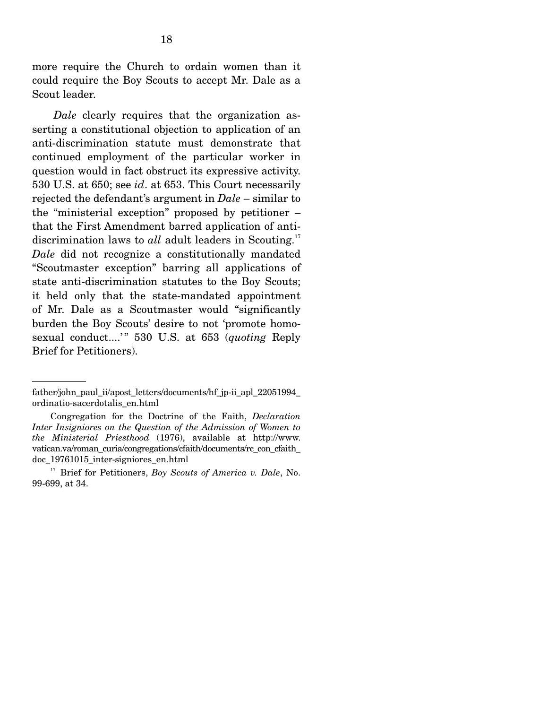more require the Church to ordain women than it could require the Boy Scouts to accept Mr. Dale as a Scout leader.

*Dale* clearly requires that the organization asserting a constitutional objection to application of an anti-discrimination statute must demonstrate that continued employment of the particular worker in question would in fact obstruct its expressive activity. 530 U.S. at 650; see *id*. at 653. This Court necessarily rejected the defendant's argument in *Dale* – similar to the "ministerial exception" proposed by petitioner – that the First Amendment barred application of antidiscrimination laws to *all* adult leaders in Scouting.<sup>17</sup> *Dale* did not recognize a constitutionally mandated "Scoutmaster exception" barring all applications of state anti-discrimination statutes to the Boy Scouts; it held only that the state-mandated appointment of Mr. Dale as a Scoutmaster would "significantly burden the Boy Scouts' desire to not 'promote homosexual conduct....'" 530 U.S. at 653 (*quoting* Reply Brief for Petitioners).

father/john\_paul\_ii/apost\_letters/documents/hf\_jp-ii\_apl\_22051994 ordinatio-sacerdotalis\_en.html

Congregation for the Doctrine of the Faith, *Declaration Inter Insigniores on the Question of the Admission of Women to the Ministerial Priesthood* (1976), available at http://www. vatican.va/roman\_curia/congregations/cfaith/documents/rc\_con\_cfaith\_ doc\_19761015\_inter-signiores\_en.html

<sup>&</sup>lt;sup>17</sup> Brief for Petitioners, *Boy Scouts of America v. Dale*, No. 99-699, at 34.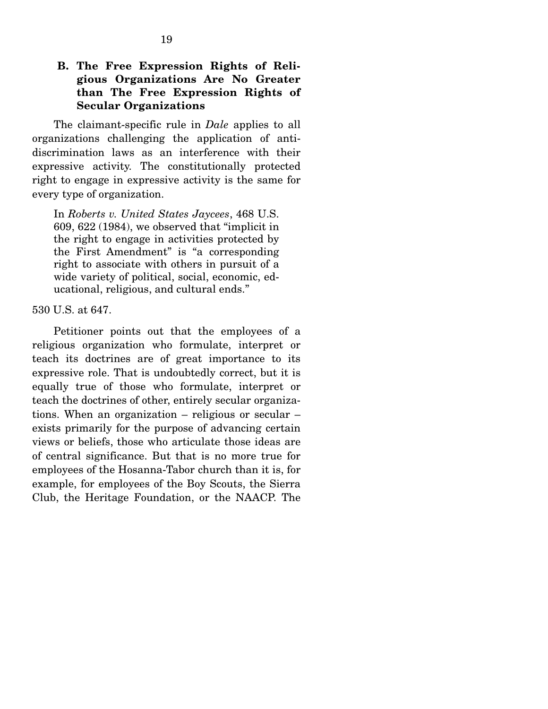## **B. The Free Expression Rights of Religious Organizations Are No Greater than The Free Expression Rights of Secular Organizations**

 The claimant-specific rule in *Dale* applies to all organizations challenging the application of antidiscrimination laws as an interference with their expressive activity. The constitutionally protected right to engage in expressive activity is the same for every type of organization.

In *Roberts v. United States Jaycees*, 468 U.S. 609, 622 (1984), we observed that "implicit in the right to engage in activities protected by the First Amendment" is "a corresponding right to associate with others in pursuit of a wide variety of political, social, economic, educational, religious, and cultural ends."

530 U.S. at 647.

 Petitioner points out that the employees of a religious organization who formulate, interpret or teach its doctrines are of great importance to its expressive role. That is undoubtedly correct, but it is equally true of those who formulate, interpret or teach the doctrines of other, entirely secular organizations. When an organization – religious or secular – exists primarily for the purpose of advancing certain views or beliefs, those who articulate those ideas are of central significance. But that is no more true for employees of the Hosanna-Tabor church than it is, for example, for employees of the Boy Scouts, the Sierra Club, the Heritage Foundation, or the NAACP. The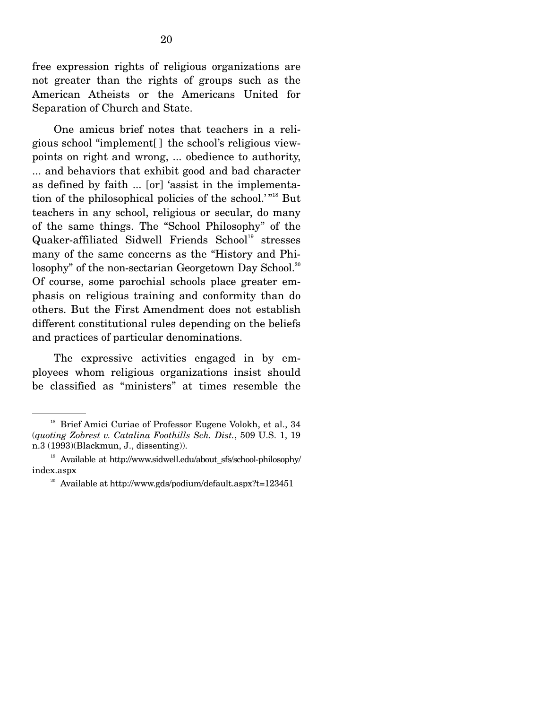free expression rights of religious organizations are not greater than the rights of groups such as the American Atheists or the Americans United for Separation of Church and State.

 One amicus brief notes that teachers in a religious school "implement[ ] the school's religious viewpoints on right and wrong, ... obedience to authority, ... and behaviors that exhibit good and bad character as defined by faith ... [or] 'assist in the implementation of the philosophical policies of the school.<sup>'"18</sup> But teachers in any school, religious or secular, do many of the same things. The "School Philosophy" of the Quaker-affiliated Sidwell Friends School<sup>19</sup> stresses many of the same concerns as the "History and Philosophy" of the non-sectarian Georgetown Day School.<sup>20</sup> Of course, some parochial schools place greater emphasis on religious training and conformity than do others. But the First Amendment does not establish different constitutional rules depending on the beliefs and practices of particular denominations.

 The expressive activities engaged in by employees whom religious organizations insist should be classified as "ministers" at times resemble the

<sup>&</sup>lt;sup>18</sup> Brief Amici Curiae of Professor Eugene Volokh, et al., 34 (*quoting Zobrest v. Catalina Foothills Sch. Dist.*, 509 U.S. 1, 19 n.3 (1993)(Blackmun, J., dissenting)).

<sup>&</sup>lt;sup>19</sup> Available at http://www.sidwell.edu/about\_sfs/school-philosophy/ index.aspx

<sup>&</sup>lt;sup>20</sup> Available at http://www.gds/podium/default.aspx?t=123451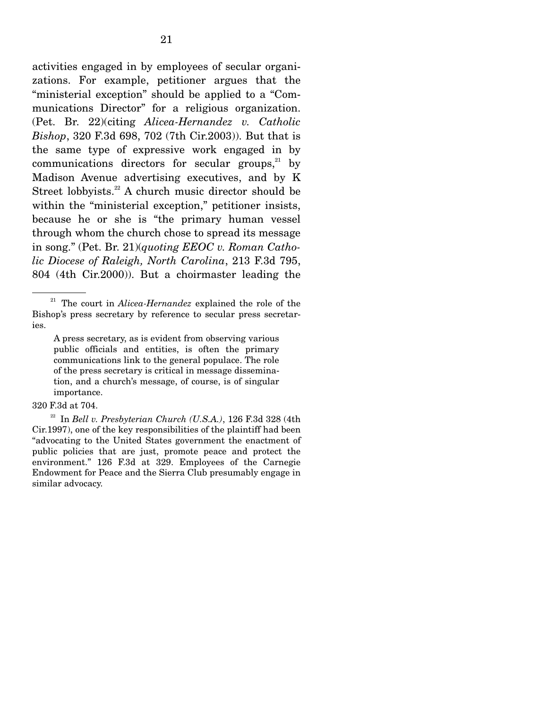activities engaged in by employees of secular organizations. For example, petitioner argues that the "ministerial exception" should be applied to a "Communications Director" for a religious organization. (Pet. Br. 22)(citing *Alicea-Hernandez v. Catholic Bishop*, 320 F.3d 698, 702 (7th Cir.2003)). But that is the same type of expressive work engaged in by communications directors for secular groups, $21$  by Madison Avenue advertising executives, and by K Street lobbyists.<sup>22</sup> A church music director should be within the "ministerial exception," petitioner insists, because he or she is "the primary human vessel through whom the church chose to spread its message in song." (Pet. Br. 21)(*quoting EEOC v. Roman Catholic Diocese of Raleigh, North Carolina*, 213 F.3d 795, 804 (4th Cir.2000)). But a choirmaster leading the

#### 320 F.3d at 704.

22 In *Bell v. Presbyterian Church (U.S.A.)*, 126 F.3d 328 (4th Cir.1997), one of the key responsibilities of the plaintiff had been "advocating to the United States government the enactment of public policies that are just, promote peace and protect the environment." 126 F.3d at 329. Employees of the Carnegie Endowment for Peace and the Sierra Club presumably engage in similar advocacy.

<sup>21</sup> The court in *Alicea-Hernandez* explained the role of the Bishop's press secretary by reference to secular press secretaries.

A press secretary, as is evident from observing various public officials and entities, is often the primary communications link to the general populace. The role of the press secretary is critical in message dissemination, and a church's message, of course, is of singular importance.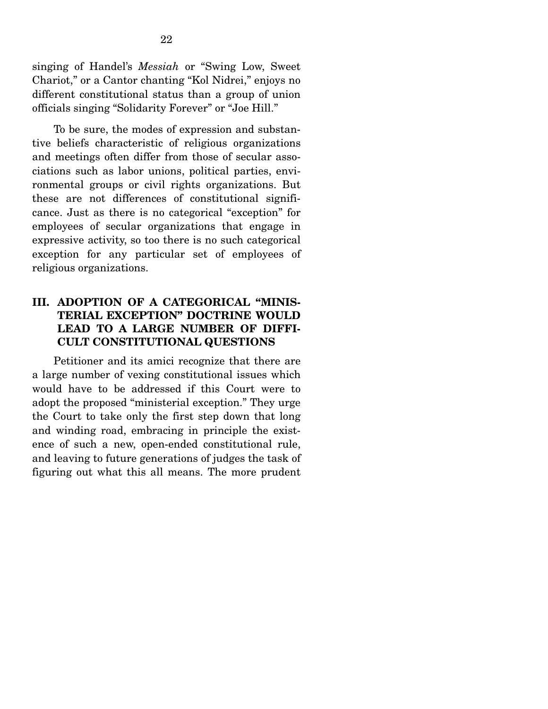singing of Handel's *Messiah* or "Swing Low, Sweet Chariot," or a Cantor chanting "Kol Nidrei," enjoys no different constitutional status than a group of union officials singing "Solidarity Forever" or "Joe Hill."

 To be sure, the modes of expression and substantive beliefs characteristic of religious organizations and meetings often differ from those of secular associations such as labor unions, political parties, environmental groups or civil rights organizations. But these are not differences of constitutional significance. Just as there is no categorical "exception" for employees of secular organizations that engage in expressive activity, so too there is no such categorical exception for any particular set of employees of religious organizations.

## **III. ADOPTION OF A CATEGORICAL "MINIS-TERIAL EXCEPTION" DOCTRINE WOULD LEAD TO A LARGE NUMBER OF DIFFI-CULT CONSTITUTIONAL QUESTIONS**

 Petitioner and its amici recognize that there are a large number of vexing constitutional issues which would have to be addressed if this Court were to adopt the proposed "ministerial exception." They urge the Court to take only the first step down that long and winding road, embracing in principle the existence of such a new, open-ended constitutional rule, and leaving to future generations of judges the task of figuring out what this all means. The more prudent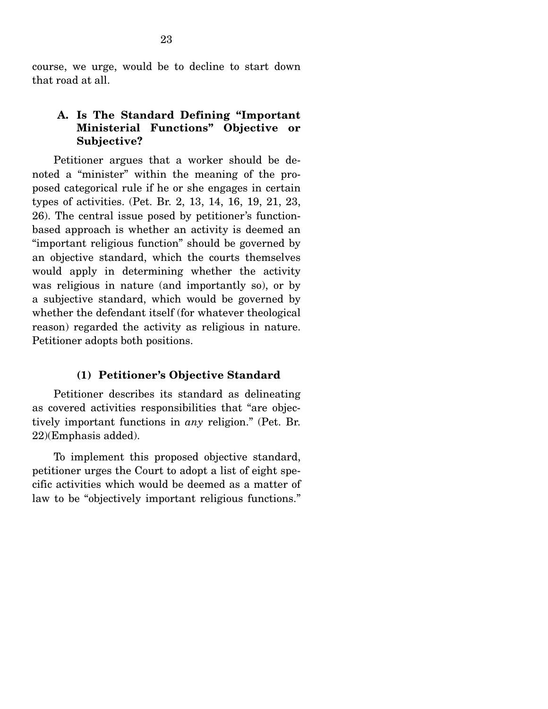course, we urge, would be to decline to start down that road at all.

## **A. Is The Standard Defining "Important Ministerial Functions" Objective or Subjective?**

 Petitioner argues that a worker should be denoted a "minister" within the meaning of the proposed categorical rule if he or she engages in certain types of activities. (Pet. Br. 2, 13, 14, 16, 19, 21, 23, 26). The central issue posed by petitioner's functionbased approach is whether an activity is deemed an "important religious function" should be governed by an objective standard, which the courts themselves would apply in determining whether the activity was religious in nature (and importantly so), or by a subjective standard, which would be governed by whether the defendant itself (for whatever theological reason) regarded the activity as religious in nature. Petitioner adopts both positions.

#### **(1) Petitioner's Objective Standard**

 Petitioner describes its standard as delineating as covered activities responsibilities that "are objectively important functions in *any* religion." (Pet. Br. 22)(Emphasis added).

 To implement this proposed objective standard, petitioner urges the Court to adopt a list of eight specific activities which would be deemed as a matter of law to be "objectively important religious functions."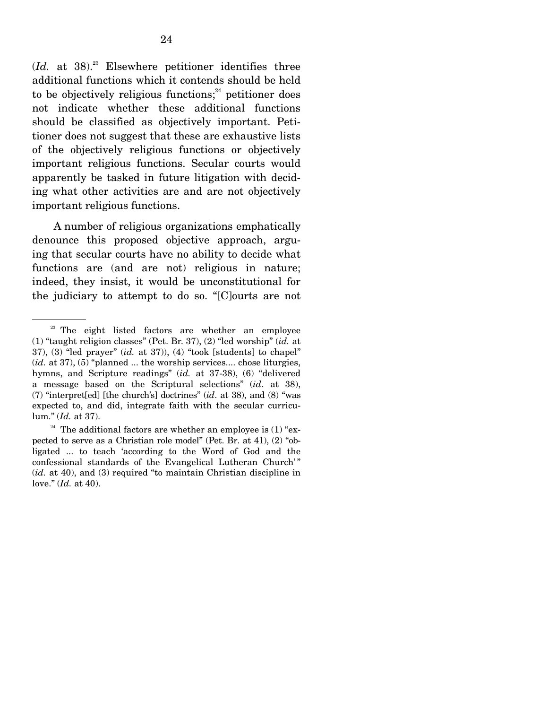$(Id.$  at 38.<sup>23</sup> Elsewhere petitioner identifies three additional functions which it contends should be held to be objectively religious functions; $^{24}$  petitioner does not indicate whether these additional functions should be classified as objectively important. Petitioner does not suggest that these are exhaustive lists of the objectively religious functions or objectively important religious functions. Secular courts would apparently be tasked in future litigation with deciding what other activities are and are not objectively important religious functions.

 A number of religious organizations emphatically denounce this proposed objective approach, arguing that secular courts have no ability to decide what functions are (and are not) religious in nature; indeed, they insist, it would be unconstitutional for the judiciary to attempt to do so. "[C]ourts are not

<sup>&</sup>lt;sup>23</sup> The eight listed factors are whether an employee (1) "taught religion classes" (Pet. Br. 37), (2) "led worship" (*id.* at 37), (3) "led prayer" (*id.* at 37)), (4) "took [students] to chapel" (*id.* at 37), (5) "planned ... the worship services.... chose liturgies, hymns, and Scripture readings" (*id.* at 37-38), (6) "delivered a message based on the Scriptural selections" (*id*. at 38), (7) "interpret[ed] [the church's] doctrines" (*id*. at 38), and (8) "was expected to, and did, integrate faith with the secular curriculum." (*Id.* at 37).

 $24$  The additional factors are whether an employee is (1) "expected to serve as a Christian role model" (Pet. Br. at 41), (2) "obligated ... to teach 'according to the Word of God and the confessional standards of the Evangelical Lutheran Church'" (*id.* at 40), and (3) required "to maintain Christian discipline in love." (*Id.* at 40).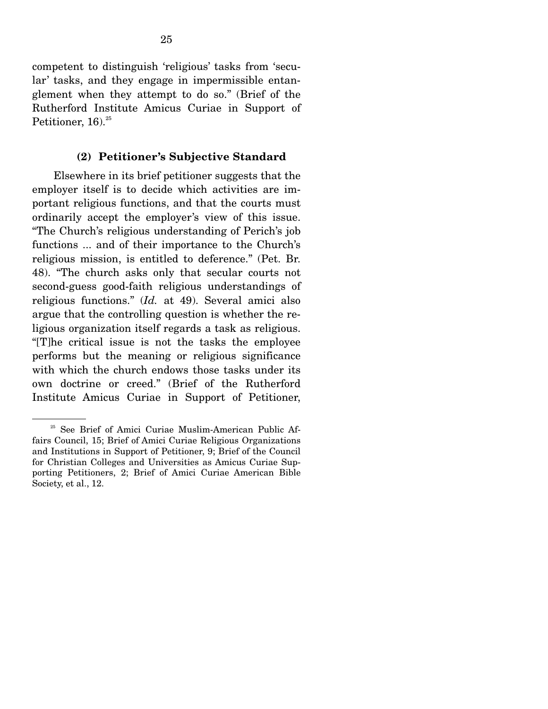competent to distinguish 'religious' tasks from 'secular' tasks, and they engage in impermissible entanglement when they attempt to do so." (Brief of the Rutherford Institute Amicus Curiae in Support of Petitioner, 16). $25$ 

#### **(2) Petitioner's Subjective Standard**

 Elsewhere in its brief petitioner suggests that the employer itself is to decide which activities are important religious functions, and that the courts must ordinarily accept the employer's view of this issue. "The Church's religious understanding of Perich's job functions ... and of their importance to the Church's religious mission, is entitled to deference." (Pet. Br. 48). "The church asks only that secular courts not second-guess good-faith religious understandings of religious functions." (*Id.* at 49). Several amici also argue that the controlling question is whether the religious organization itself regards a task as religious. "[T]he critical issue is not the tasks the employee performs but the meaning or religious significance with which the church endows those tasks under its own doctrine or creed." (Brief of the Rutherford Institute Amicus Curiae in Support of Petitioner,

<sup>&</sup>lt;sup>25</sup> See Brief of Amici Curiae Muslim-American Public Affairs Council, 15; Brief of Amici Curiae Religious Organizations and Institutions in Support of Petitioner, 9; Brief of the Council for Christian Colleges and Universities as Amicus Curiae Supporting Petitioners, 2; Brief of Amici Curiae American Bible Society, et al., 12.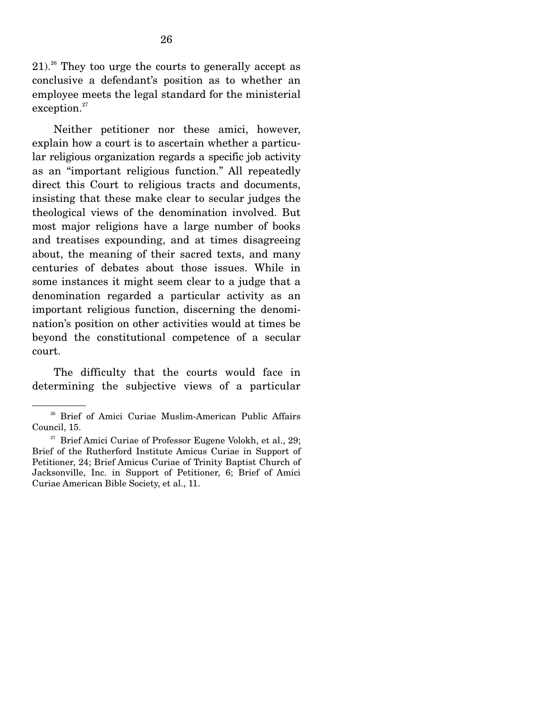$21$ <sup>26</sup> They too urge the courts to generally accept as conclusive a defendant's position as to whether an employee meets the legal standard for the ministerial exception.<sup>27</sup>

 Neither petitioner nor these amici, however, explain how a court is to ascertain whether a particular religious organization regards a specific job activity as an "important religious function." All repeatedly direct this Court to religious tracts and documents, insisting that these make clear to secular judges the theological views of the denomination involved. But most major religions have a large number of books and treatises expounding, and at times disagreeing about, the meaning of their sacred texts, and many centuries of debates about those issues. While in some instances it might seem clear to a judge that a denomination regarded a particular activity as an important religious function, discerning the denomination's position on other activities would at times be beyond the constitutional competence of a secular court.

 The difficulty that the courts would face in determining the subjective views of a particular

<sup>&</sup>lt;sup>26</sup> Brief of Amici Curiae Muslim-American Public Affairs Council, 15.

 $27$  Brief Amici Curiae of Professor Eugene Volokh, et al., 29; Brief of the Rutherford Institute Amicus Curiae in Support of Petitioner, 24; Brief Amicus Curiae of Trinity Baptist Church of Jacksonville, Inc. in Support of Petitioner, 6; Brief of Amici Curiae American Bible Society, et al., 11.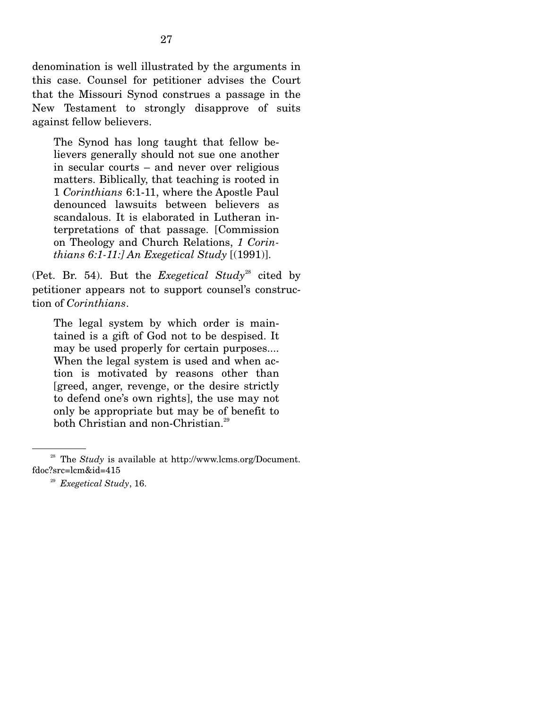denomination is well illustrated by the arguments in this case. Counsel for petitioner advises the Court that the Missouri Synod construes a passage in the New Testament to strongly disapprove of suits against fellow believers.

The Synod has long taught that fellow believers generally should not sue one another in secular courts – and never over religious matters. Biblically, that teaching is rooted in 1 *Corinthians* 6:1-11, where the Apostle Paul denounced lawsuits between believers as scandalous. It is elaborated in Lutheran interpretations of that passage. [Commission on Theology and Church Relations, *1 Corinthians 6:1-11:] An Exegetical Study* [(1991)].

(Pet. Br. 54). But the *Exegetical Study*<sup>28</sup> cited by petitioner appears not to support counsel's construction of *Corinthians*.

The legal system by which order is maintained is a gift of God not to be despised. It may be used properly for certain purposes.... When the legal system is used and when action is motivated by reasons other than [greed, anger, revenge, or the desire strictly to defend one's own rights], the use may not only be appropriate but may be of benefit to both Christian and non-Christian.<sup>29</sup>

<sup>&</sup>lt;sup>28</sup> The *Study* is available at http://www.lcms.org/Document. fdoc?src=lcm&id=415

<sup>29</sup> *Exegetical Study*, 16.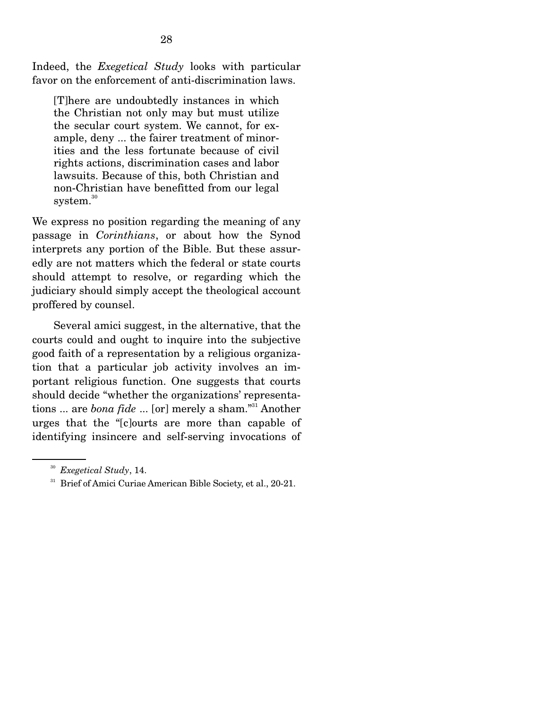Indeed, the *Exegetical Study* looks with particular favor on the enforcement of anti-discrimination laws.

[T]here are undoubtedly instances in which the Christian not only may but must utilize the secular court system. We cannot, for example, deny ... the fairer treatment of minorities and the less fortunate because of civil rights actions, discrimination cases and labor lawsuits. Because of this, both Christian and non-Christian have benefitted from our legal system.<sup>30</sup>

We express no position regarding the meaning of any passage in *Corinthians*, or about how the Synod interprets any portion of the Bible. But these assuredly are not matters which the federal or state courts should attempt to resolve, or regarding which the judiciary should simply accept the theological account proffered by counsel.

 Several amici suggest, in the alternative, that the courts could and ought to inquire into the subjective good faith of a representation by a religious organization that a particular job activity involves an important religious function. One suggests that courts should decide "whether the organizations' representations ... are *bona fide* ... [or] merely a sham."31 Another urges that the "[c]ourts are more than capable of identifying insincere and self-serving invocations of

<sup>&</sup>lt;sup>30</sup> *Exegetical Study*, 14.<br><sup>31</sup> Brief of Amici Curiae American Bible Society, et al., 20-21.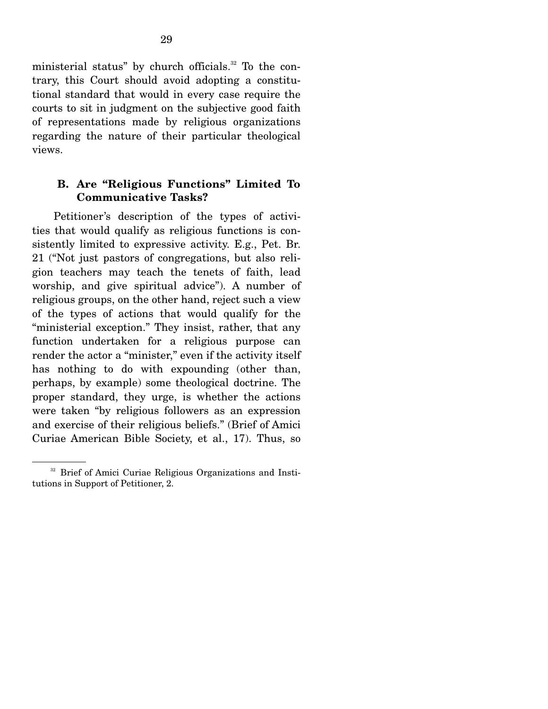ministerial status" by church officials.<sup>32</sup> To the contrary, this Court should avoid adopting a constitutional standard that would in every case require the courts to sit in judgment on the subjective good faith of representations made by religious organizations regarding the nature of their particular theological views.

## **B. Are "Religious Functions" Limited To Communicative Tasks?**

 Petitioner's description of the types of activities that would qualify as religious functions is consistently limited to expressive activity. E.g., Pet. Br. 21 ("Not just pastors of congregations, but also religion teachers may teach the tenets of faith, lead worship, and give spiritual advice"). A number of religious groups, on the other hand, reject such a view of the types of actions that would qualify for the "ministerial exception." They insist, rather, that any function undertaken for a religious purpose can render the actor a "minister," even if the activity itself has nothing to do with expounding (other than, perhaps, by example) some theological doctrine. The proper standard, they urge, is whether the actions were taken "by religious followers as an expression and exercise of their religious beliefs." (Brief of Amici Curiae American Bible Society, et al., 17). Thus, so

<sup>&</sup>lt;sup>32</sup> Brief of Amici Curiae Religious Organizations and Institutions in Support of Petitioner, 2.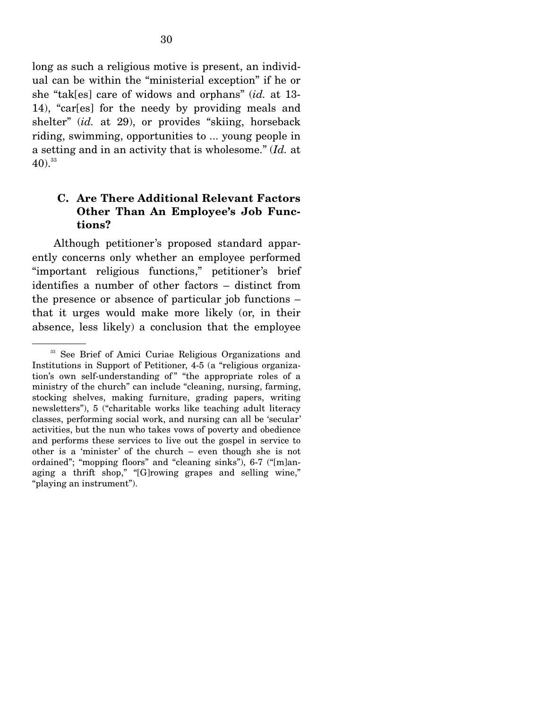long as such a religious motive is present, an individual can be within the "ministerial exception" if he or she "tak[es] care of widows and orphans" (*id.* at 13- 14), "car[es] for the needy by providing meals and shelter" (*id.* at 29), or provides "skiing, horseback riding, swimming, opportunities to ... young people in a setting and in an activity that is wholesome." (*Id.* at  $(40).^{33}$ 

## **C. Are There Additional Relevant Factors Other Than An Employee's Job Functions?**

 Although petitioner's proposed standard apparently concerns only whether an employee performed "important religious functions," petitioner's brief identifies a number of other factors – distinct from the presence or absence of particular job functions – that it urges would make more likely (or, in their absence, less likely) a conclusion that the employee

<sup>&</sup>lt;sup>33</sup> See Brief of Amici Curiae Religious Organizations and Institutions in Support of Petitioner, 4-5 (a "religious organization's own self-understanding of " "the appropriate roles of a ministry of the church" can include "cleaning, nursing, farming, stocking shelves, making furniture, grading papers, writing newsletters"), 5 ("charitable works like teaching adult literacy classes, performing social work, and nursing can all be 'secular' activities, but the nun who takes vows of poverty and obedience and performs these services to live out the gospel in service to other is a 'minister' of the church – even though she is not ordained"; "mopping floors" and "cleaning sinks"), 6-7 ("[m]anaging a thrift shop," "[G]rowing grapes and selling wine," "playing an instrument").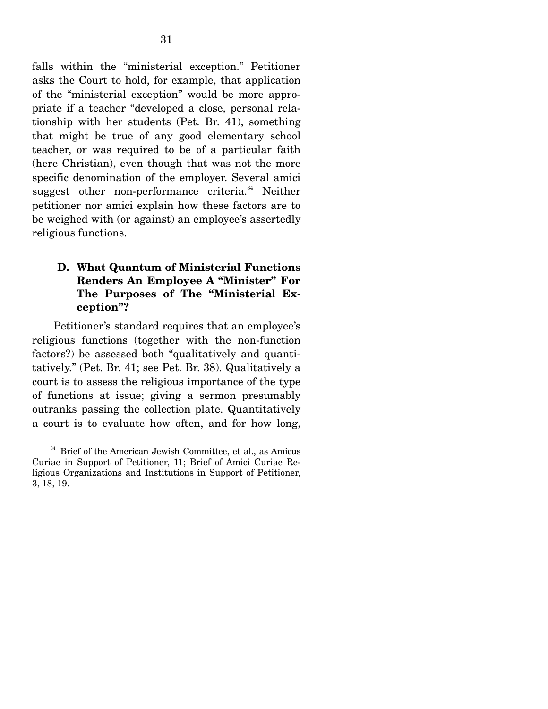falls within the "ministerial exception." Petitioner asks the Court to hold, for example, that application of the "ministerial exception" would be more appropriate if a teacher "developed a close, personal relationship with her students (Pet. Br. 41), something that might be true of any good elementary school teacher, or was required to be of a particular faith (here Christian), even though that was not the more specific denomination of the employer. Several amici suggest other non-performance criteria. $34$  Neither petitioner nor amici explain how these factors are to be weighed with (or against) an employee's assertedly religious functions.

## **D. What Quantum of Ministerial Functions Renders An Employee A "Minister" For The Purposes of The "Ministerial Exception"?**

 Petitioner's standard requires that an employee's religious functions (together with the non-function factors?) be assessed both "qualitatively and quantitatively." (Pet. Br. 41; see Pet. Br. 38). Qualitatively a court is to assess the religious importance of the type of functions at issue; giving a sermon presumably outranks passing the collection plate. Quantitatively a court is to evaluate how often, and for how long,

<sup>&</sup>lt;sup>34</sup> Brief of the American Jewish Committee, et al., as Amicus Curiae in Support of Petitioner, 11; Brief of Amici Curiae Religious Organizations and Institutions in Support of Petitioner, 3, 18, 19.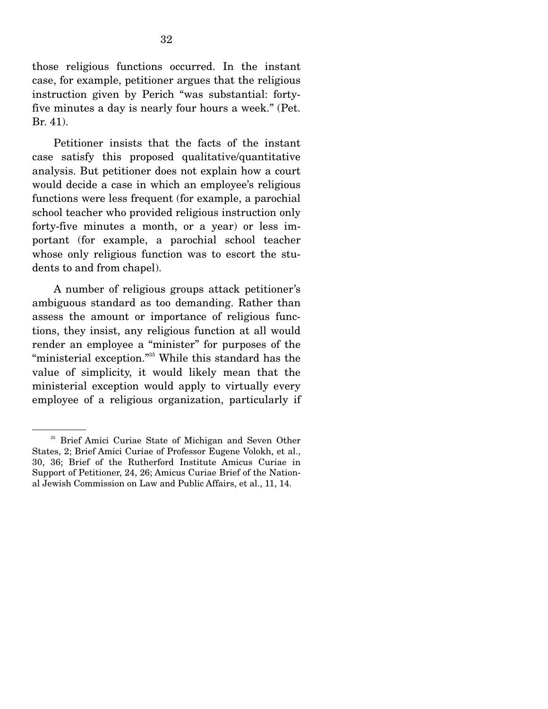those religious functions occurred. In the instant case, for example, petitioner argues that the religious instruction given by Perich "was substantial: fortyfive minutes a day is nearly four hours a week." (Pet. Br. 41).

 Petitioner insists that the facts of the instant case satisfy this proposed qualitative/quantitative analysis. But petitioner does not explain how a court would decide a case in which an employee's religious functions were less frequent (for example, a parochial school teacher who provided religious instruction only forty-five minutes a month, or a year) or less important (for example, a parochial school teacher whose only religious function was to escort the students to and from chapel).

 A number of religious groups attack petitioner's ambiguous standard as too demanding. Rather than assess the amount or importance of religious functions, they insist, any religious function at all would render an employee a "minister" for purposes of the "ministerial exception."35 While this standard has the value of simplicity, it would likely mean that the ministerial exception would apply to virtually every employee of a religious organization, particularly if

<sup>&</sup>lt;sup>35</sup> Brief Amici Curiae State of Michigan and Seven Other States, 2; Brief Amici Curiae of Professor Eugene Volokh, et al., 30, 36; Brief of the Rutherford Institute Amicus Curiae in Support of Petitioner, 24, 26; Amicus Curiae Brief of the National Jewish Commission on Law and Public Affairs, et al., 11, 14.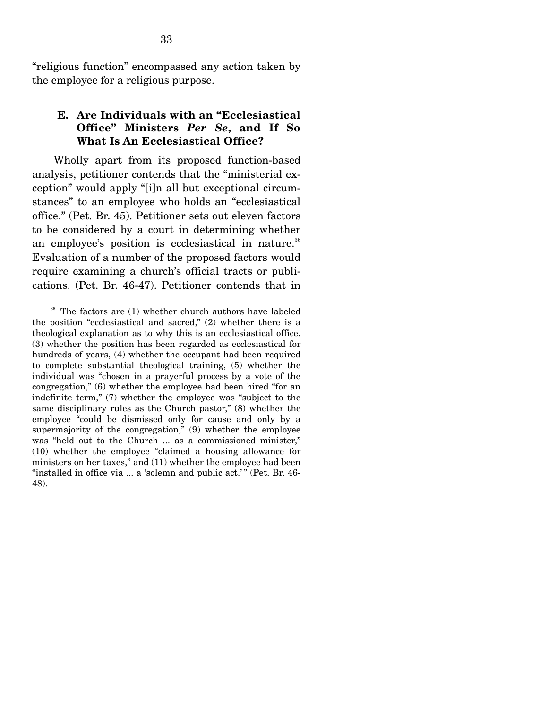"religious function" encompassed any action taken by the employee for a religious purpose.

#### **E. Are Individuals with an "Ecclesiastical Office" Ministers** *Per Se***, and If So What Is An Ecclesiastical Office?**

 Wholly apart from its proposed function-based analysis, petitioner contends that the "ministerial exception" would apply "[i]n all but exceptional circumstances" to an employee who holds an "ecclesiastical office." (Pet. Br. 45). Petitioner sets out eleven factors to be considered by a court in determining whether an employee's position is ecclesiastical in nature.<sup>36</sup> Evaluation of a number of the proposed factors would require examining a church's official tracts or publications. (Pet. Br. 46-47). Petitioner contends that in

<sup>&</sup>lt;sup>36</sup> The factors are (1) whether church authors have labeled the position "ecclesiastical and sacred," (2) whether there is a theological explanation as to why this is an ecclesiastical office, (3) whether the position has been regarded as ecclesiastical for hundreds of years, (4) whether the occupant had been required to complete substantial theological training, (5) whether the individual was "chosen in a prayerful process by a vote of the congregation," (6) whether the employee had been hired "for an indefinite term," (7) whether the employee was "subject to the same disciplinary rules as the Church pastor," (8) whether the employee "could be dismissed only for cause and only by a supermajority of the congregation," (9) whether the employee was "held out to the Church ... as a commissioned minister," (10) whether the employee "claimed a housing allowance for ministers on her taxes," and (11) whether the employee had been "installed in office via ... a 'solemn and public act.'" (Pet. Br. 46-48).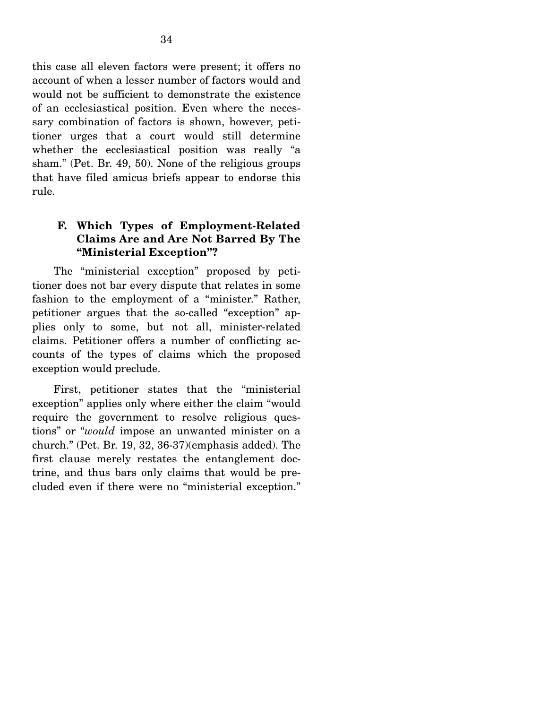this case all eleven factors were present; it offers no account of when a lesser number of factors would and would not be sufficient to demonstrate the existence of an ecclesiastical position. Even where the necessary combination of factors is shown, however, petitioner urges that a court would still determine whether the ecclesiastical position was really "a sham." (Pet. Br. 49, 50). None of the religious groups that have filed amicus briefs appear to endorse this rule.

## **F. Which Types of Employment-Related Claims Are and Are Not Barred By The "Ministerial Exception"?**

 The "ministerial exception" proposed by petitioner does not bar every dispute that relates in some fashion to the employment of a "minister." Rather, petitioner argues that the so-called "exception" applies only to some, but not all, minister-related claims. Petitioner offers a number of conflicting accounts of the types of claims which the proposed exception would preclude.

 First, petitioner states that the "ministerial exception" applies only where either the claim "would require the government to resolve religious questions" or "*would* impose an unwanted minister on a church." (Pet. Br. 19, 32, 36-37)(emphasis added). The first clause merely restates the entanglement doctrine, and thus bars only claims that would be precluded even if there were no "ministerial exception."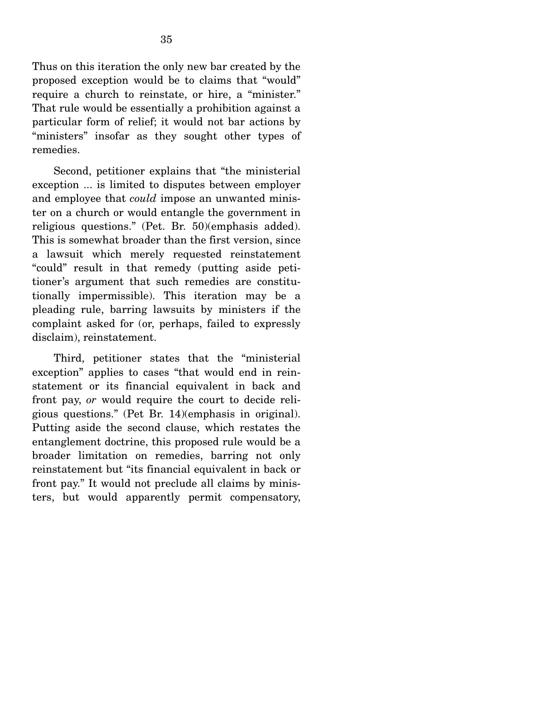Thus on this iteration the only new bar created by the proposed exception would be to claims that "would" require a church to reinstate, or hire, a "minister." That rule would be essentially a prohibition against a particular form of relief; it would not bar actions by "ministers" insofar as they sought other types of remedies.

 Second, petitioner explains that "the ministerial exception ... is limited to disputes between employer and employee that *could* impose an unwanted minister on a church or would entangle the government in religious questions." (Pet. Br. 50)(emphasis added). This is somewhat broader than the first version, since a lawsuit which merely requested reinstatement "could" result in that remedy (putting aside petitioner's argument that such remedies are constitutionally impermissible). This iteration may be a pleading rule, barring lawsuits by ministers if the complaint asked for (or, perhaps, failed to expressly disclaim), reinstatement.

 Third, petitioner states that the "ministerial exception" applies to cases "that would end in reinstatement or its financial equivalent in back and front pay, *or* would require the court to decide religious questions." (Pet Br. 14)(emphasis in original). Putting aside the second clause, which restates the entanglement doctrine, this proposed rule would be a broader limitation on remedies, barring not only reinstatement but "its financial equivalent in back or front pay." It would not preclude all claims by ministers, but would apparently permit compensatory,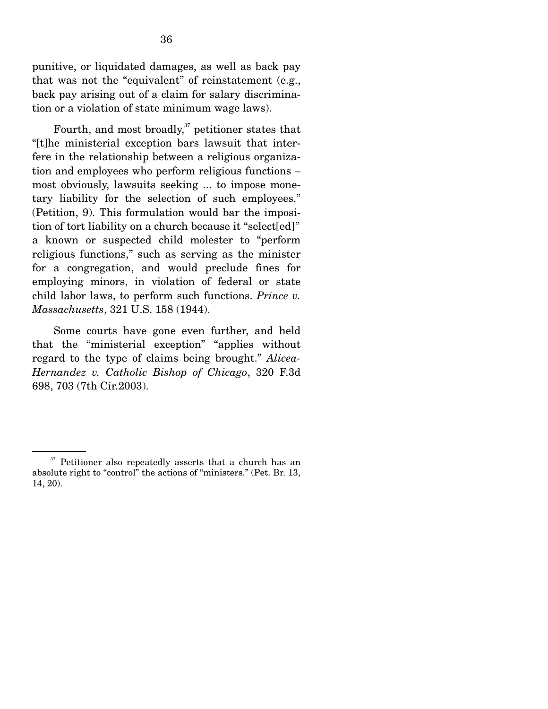punitive, or liquidated damages, as well as back pay that was not the "equivalent" of reinstatement (e.g., back pay arising out of a claim for salary discrimination or a violation of state minimum wage laws).

Fourth, and most broadly, $37$  petitioner states that "[t]he ministerial exception bars lawsuit that interfere in the relationship between a religious organization and employees who perform religious functions – most obviously, lawsuits seeking ... to impose monetary liability for the selection of such employees." (Petition, 9). This formulation would bar the imposition of tort liability on a church because it "select[ed]" a known or suspected child molester to "perform religious functions," such as serving as the minister for a congregation, and would preclude fines for employing minors, in violation of federal or state child labor laws, to perform such functions. *Prince v. Massachusetts*, 321 U.S. 158 (1944).

 Some courts have gone even further, and held that the "ministerial exception" "applies without regard to the type of claims being brought." *Alicea-Hernandez v. Catholic Bishop of Chicago*, 320 F.3d 698, 703 (7th Cir.2003).

<sup>&</sup>lt;sup>37</sup> Petitioner also repeatedly asserts that a church has an absolute right to "control" the actions of "ministers." (Pet. Br. 13, 14, 20).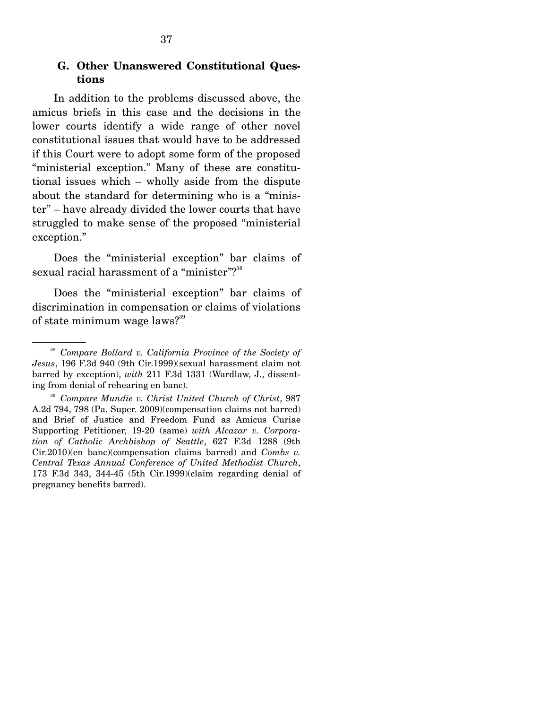#### **G. Other Unanswered Constitutional Questions**

 In addition to the problems discussed above, the amicus briefs in this case and the decisions in the lower courts identify a wide range of other novel constitutional issues that would have to be addressed if this Court were to adopt some form of the proposed "ministerial exception." Many of these are constitutional issues which – wholly aside from the dispute about the standard for determining who is a "minister" – have already divided the lower courts that have struggled to make sense of the proposed "ministerial exception."

 Does the "ministerial exception" bar claims of sexual racial harassment of a "minister"?<sup>38</sup>

 Does the "ministerial exception" bar claims of discrimination in compensation or claims of violations of state minimum wage laws?<sup>39</sup>

<sup>38</sup> *Compare Bollard v. California Province of the Society of Jesus*, 196 F.3d 940 (9th Cir.1999)(sexual harassment claim not barred by exception), *with* 211 F.3d 1331 (Wardlaw, J., dissenting from denial of rehearing en banc).

<sup>39</sup> *Compare Mundie v. Christ United Church of Christ*, 987 A.2d 794, 798 (Pa. Super. 2009)(compensation claims not barred) and Brief of Justice and Freedom Fund as Amicus Curiae Supporting Petitioner, 19-20 (same) *with Alcazar v. Corporation of Catholic Archbishop of Seattle*, 627 F.3d 1288 (9th Cir.2010)(en banc)(compensation claims barred) and *Combs v. Central Texas Annual Conference of United Methodist Church*, 173 F.3d 343, 344-45 (5th Cir.1999)(claim regarding denial of pregnancy benefits barred).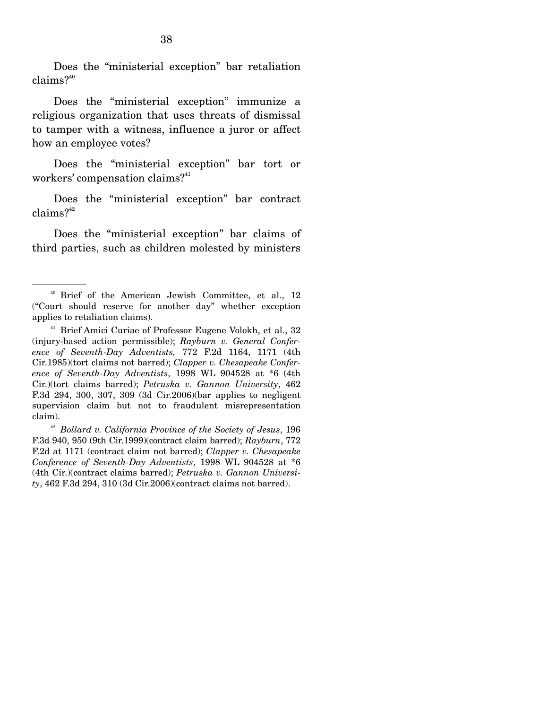Does the "ministerial exception" bar retaliation claims?<sup>40</sup>

 Does the "ministerial exception" immunize a religious organization that uses threats of dismissal to tamper with a witness, influence a juror or affect how an employee votes?

 Does the "ministerial exception" bar tort or workers' compensation claims? $41$ 

 Does the "ministerial exception" bar contract  $clains?$ <sup>42</sup>

 Does the "ministerial exception" bar claims of third parties, such as children molested by ministers

<sup>40</sup> Brief of the American Jewish Committee, et al., 12 ("Court should reserve for another day" whether exception applies to retaliation claims).

<sup>&</sup>lt;sup>41</sup> Brief Amici Curiae of Professor Eugene Volokh, et al., 32 (injury-based action permissible); *Rayburn v. General Conference of Seventh-Day Adventists,* 772 F.2d 1164, 1171 (4th Cir.1985)(tort claims not barred); *Clapper v. Chesapeake Conference of Seventh-Day Adventists*, 1998 WL 904528 at \*6 (4th Cir.)(tort claims barred); *Petruska v. Gannon University*, 462 F.3d 294, 300, 307, 309 (3d Cir.2006)(bar applies to negligent supervision claim but not to fraudulent misrepresentation claim).

<sup>42</sup> *Bollard v. California Province of the Society of Jesus*, 196 F.3d 940, 950 (9th Cir.1999)(contract claim barred); *Rayburn*, 772 F.2d at 1171 (contract claim not barred); *Clapper v. Chesapeake Conference of Seventh-Day Adventists*, 1998 WL 904528 at \*6 (4th Cir.)(contract claims barred); *Petruska v. Gannon University*, 462 F.3d 294, 310 (3d Cir.2006)(contract claims not barred).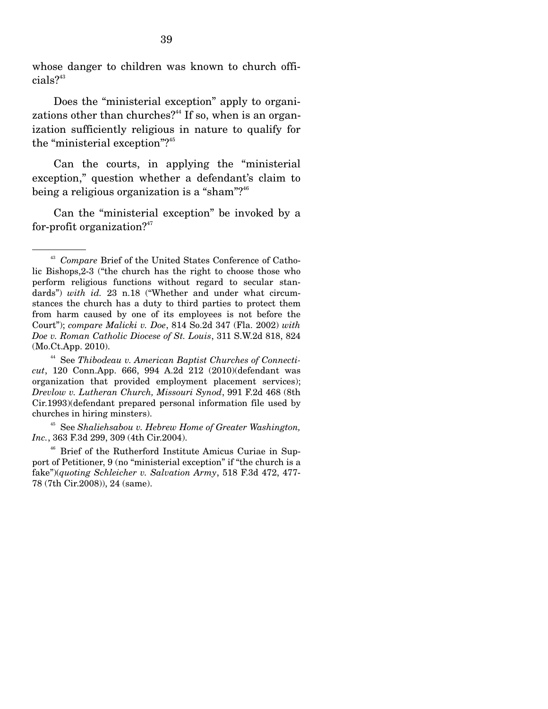whose danger to children was known to church offi $cials?$ <sup>43</sup>

 Does the "ministerial exception" apply to organizations other than churches?<sup>44</sup> If so, when is an organization sufficiently religious in nature to qualify for the "ministerial exception"?<sup>45</sup>

 Can the courts, in applying the "ministerial exception," question whether a defendant's claim to being a religious organization is a "sham"?<sup>46</sup>

 Can the "ministerial exception" be invoked by a for-profit organization? $47$ 

<sup>43</sup> *Compare* Brief of the United States Conference of Catholic Bishops,2-3 ("the church has the right to choose those who perform religious functions without regard to secular standards") *with id.* 23 n.18 ("Whether and under what circumstances the church has a duty to third parties to protect them from harm caused by one of its employees is not before the Court"); *compare Malicki v. Doe*, 814 So.2d 347 (Fla. 2002) *with Doe v. Roman Catholic Diocese of St. Louis*, 311 S.W.2d 818, 824 (Mo.Ct.App. 2010).

<sup>44</sup> See *Thibodeau v. American Baptist Churches of Connecticut*, 120 Conn.App. 666, 994 A.2d 212 (2010)(defendant was organization that provided employment placement services); *Drevlow v. Lutheran Church, Missouri Synod*, 991 F.2d 468 (8th Cir.1993)(defendant prepared personal information file used by churches in hiring minsters).

<sup>45</sup> See *Shaliehsabou v. Hebrew Home of Greater Washington, Inc.*, 363 F.3d 299, 309 (4th Cir.2004).

<sup>46</sup> Brief of the Rutherford Institute Amicus Curiae in Support of Petitioner, 9 (no "ministerial exception" if "the church is a fake")(*quoting Schleicher v. Salvation Army*, 518 F.3d 472, 477- 78 (7th Cir.2008)), 24 (same).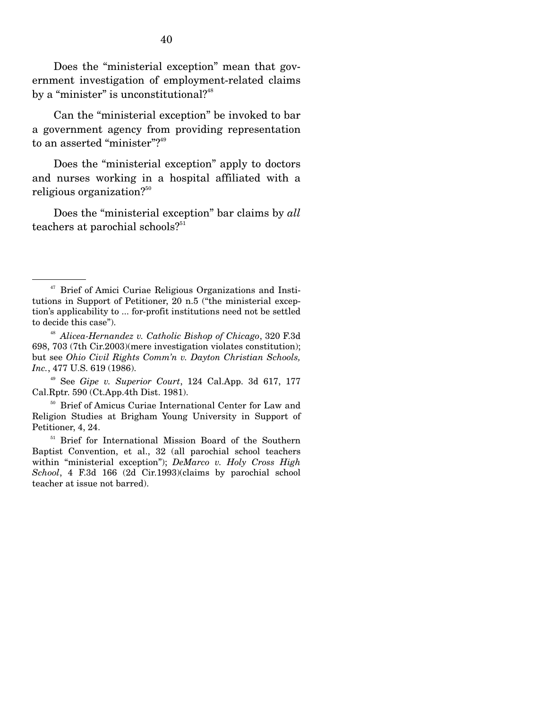Does the "ministerial exception" mean that government investigation of employment-related claims by a "minister" is unconstitutional? $48$ 

 Can the "ministerial exception" be invoked to bar a government agency from providing representation to an asserted "minister"? $49$ 

 Does the "ministerial exception" apply to doctors and nurses working in a hospital affiliated with a religious organization? $50$ 

 Does the "ministerial exception" bar claims by *all* teachers at parochial schools?<sup>51</sup>

<sup>&</sup>lt;sup>47</sup> Brief of Amici Curiae Religious Organizations and Institutions in Support of Petitioner, 20 n.5 ("the ministerial exception's applicability to ... for-profit institutions need not be settled to decide this case").

<sup>48</sup> *Alicea-Hernandez v. Catholic Bishop of Chicago*, 320 F.3d 698, 703 (7th Cir.2003)(mere investigation violates constitution); but see *Ohio Civil Rights Comm'n v. Dayton Christian Schools, Inc.*, 477 U.S. 619 (1986).

<sup>49</sup> See *Gipe v. Superior Court*, 124 Cal.App. 3d 617, 177 Cal.Rptr. 590 (Ct.App.4th Dist. 1981).

<sup>50</sup> Brief of Amicus Curiae International Center for Law and Religion Studies at Brigham Young University in Support of Petitioner, 4, 24.

<sup>&</sup>lt;sup>51</sup> Brief for International Mission Board of the Southern Baptist Convention, et al., 32 (all parochial school teachers within "ministerial exception"); *DeMarco v. Holy Cross High School*, 4 F.3d 166 (2d Cir.1993)(claims by parochial school teacher at issue not barred).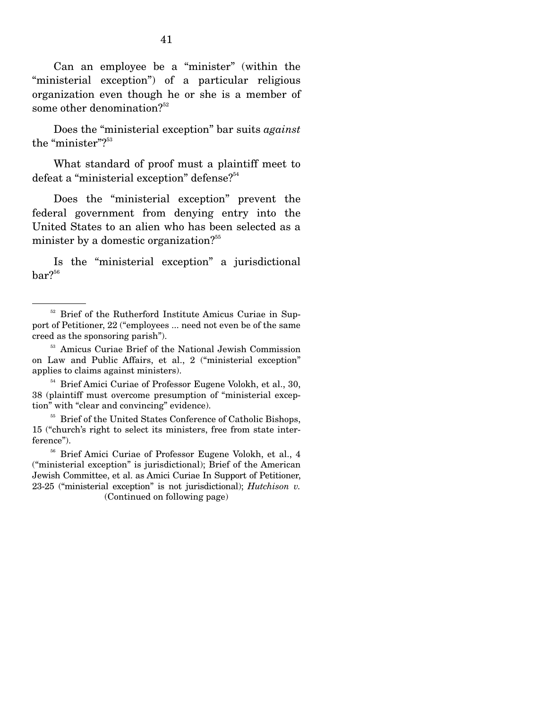Can an employee be a "minister" (within the "ministerial exception") of a particular religious organization even though he or she is a member of some other denomination?<sup>52</sup>

 Does the "ministerial exception" bar suits *against* the "minister"?<sup>53</sup>

 What standard of proof must a plaintiff meet to defeat a "ministerial exception" defense?<sup>54</sup>

 Does the "ministerial exception" prevent the federal government from denying entry into the United States to an alien who has been selected as a minister by a domestic organization?<sup>55</sup>

 Is the "ministerial exception" a jurisdictional  $bar?$ <sup>56</sup>

<sup>54</sup> Brief Amici Curiae of Professor Eugene Volokh, et al., 30, 38 (plaintiff must overcome presumption of "ministerial exception" with "clear and convincing" evidence).

<sup>55</sup> Brief of the United States Conference of Catholic Bishops, 15 ("church's right to select its ministers, free from state interference").

<sup>56</sup> Brief Amici Curiae of Professor Eugene Volokh, et al., 4 ("ministerial exception" is jurisdictional); Brief of the American Jewish Committee, et al. as Amici Curiae In Support of Petitioner, 23-25 ("ministerial exception" is not jurisdictional); *Hutchison v.*  (Continued on following page)

<sup>&</sup>lt;sup>52</sup> Brief of the Rutherford Institute Amicus Curiae in Support of Petitioner, 22 ("employees ... need not even be of the same creed as the sponsoring parish").

<sup>53</sup> Amicus Curiae Brief of the National Jewish Commission on Law and Public Affairs, et al., 2 ("ministerial exception" applies to claims against ministers).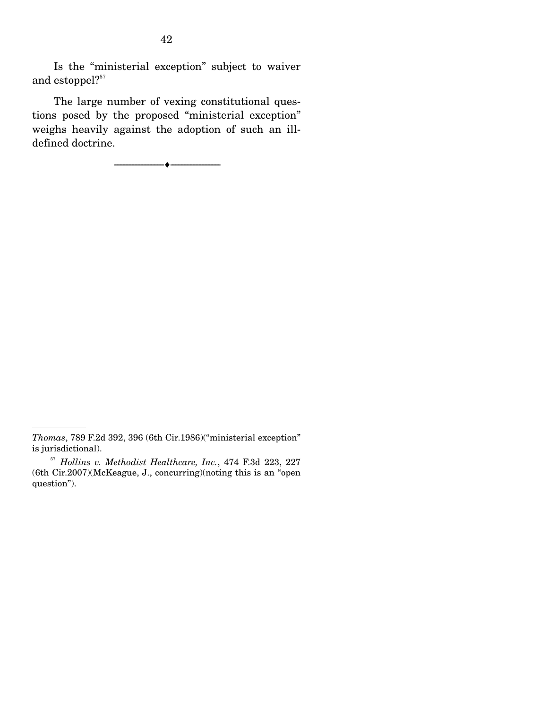Is the "ministerial exception" subject to waiver and estoppel?<sup>57</sup>

 The large number of vexing constitutional questions posed by the proposed "ministerial exception" weighs heavily against the adoption of such an illdefined doctrine.

--------------------------------- ♦ ---------------------------------

*Thomas*, 789 F.2d 392, 396 (6th Cir.1986)("ministerial exception" is jurisdictional).

<sup>57</sup> *Hollins v. Methodist Healthcare, Inc.*, 474 F.3d 223, 227 (6th Cir.2007)(McKeague, J., concurring)(noting this is an "open question").